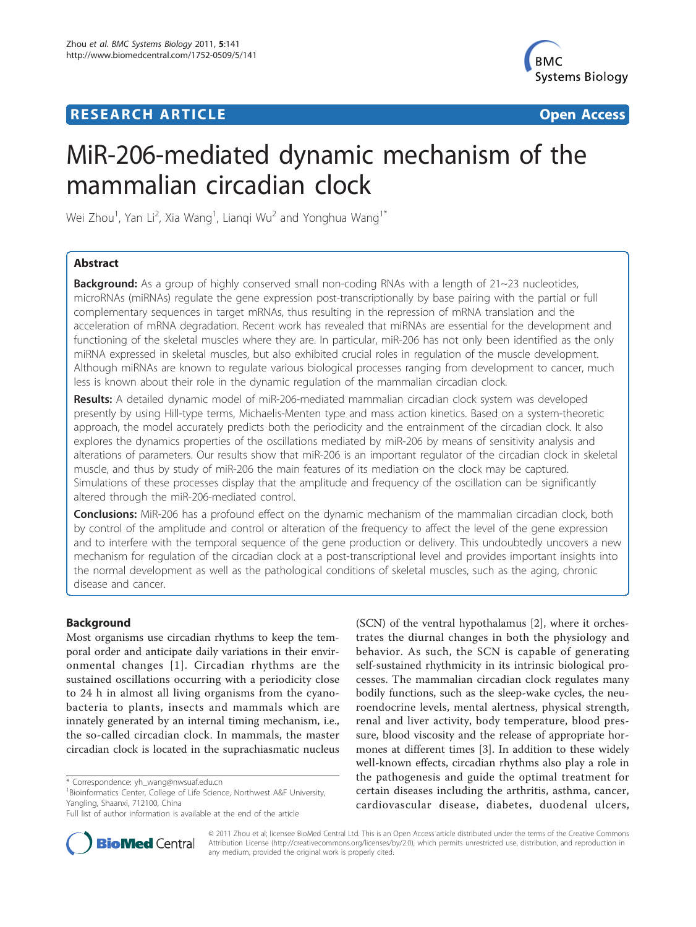# **RESEARCH ARTICLE Example 2018 12:30 THE Open Access**



# MiR-206-mediated dynamic mechanism of the mammalian circadian clock

Wei Zhou $^1$ , Yan Li $^2$ , Xia Wang $^1$ , Lianqi Wu $^2$  and Yonghua Wang $^1{}^*$ 

# Abstract

**Background:** As a group of highly conserved small non-coding RNAs with a length of  $21 \sim 23$  nucleotides, microRNAs (miRNAs) regulate the gene expression post-transcriptionally by base pairing with the partial or full complementary sequences in target mRNAs, thus resulting in the repression of mRNA translation and the acceleration of mRNA degradation. Recent work has revealed that miRNAs are essential for the development and functioning of the skeletal muscles where they are. In particular, miR-206 has not only been identified as the only miRNA expressed in skeletal muscles, but also exhibited crucial roles in regulation of the muscle development. Although miRNAs are known to regulate various biological processes ranging from development to cancer, much less is known about their role in the dynamic regulation of the mammalian circadian clock.

Results: A detailed dynamic model of miR-206-mediated mammalian circadian clock system was developed presently by using Hill-type terms, Michaelis-Menten type and mass action kinetics. Based on a system-theoretic approach, the model accurately predicts both the periodicity and the entrainment of the circadian clock. It also explores the dynamics properties of the oscillations mediated by miR-206 by means of sensitivity analysis and alterations of parameters. Our results show that miR-206 is an important regulator of the circadian clock in skeletal muscle, and thus by study of miR-206 the main features of its mediation on the clock may be captured. Simulations of these processes display that the amplitude and frequency of the oscillation can be significantly altered through the miR-206-mediated control.

**Conclusions:** MiR-206 has a profound effect on the dynamic mechanism of the mammalian circadian clock, both by control of the amplitude and control or alteration of the frequency to affect the level of the gene expression and to interfere with the temporal sequence of the gene production or delivery. This undoubtedly uncovers a new mechanism for regulation of the circadian clock at a post-transcriptional level and provides important insights into the normal development as well as the pathological conditions of skeletal muscles, such as the aging, chronic disease and cancer.

# Background

Most organisms use circadian rhythms to keep the temporal order and anticipate daily variations in their environmental changes [[1](#page-15-0)]. Circadian rhythms are the sustained oscillations occurring with a periodicity close to 24 h in almost all living organisms from the cyanobacteria to plants, insects and mammals which are innately generated by an internal timing mechanism, i.e., the so-called circadian clock. In mammals, the master circadian clock is located in the suprachiasmatic nucleus

(SCN) of the ventral hypothalamus [\[2](#page-15-0)], where it orchestrates the diurnal changes in both the physiology and behavior. As such, the SCN is capable of generating self-sustained rhythmicity in its intrinsic biological processes. The mammalian circadian clock regulates many bodily functions, such as the sleep-wake cycles, the neuroendocrine levels, mental alertness, physical strength, renal and liver activity, body temperature, blood pressure, blood viscosity and the release of appropriate hormones at different times [\[3\]](#page-15-0). In addition to these widely well-known effects, circadian rhythms also play a role in the pathogenesis and guide the optimal treatment for certain diseases including the arthritis, asthma, cancer, cardiovascular disease, diabetes, duodenal ulcers,



© 2011 Zhou et al; licensee BioMed Central Ltd. This is an Open Access article distributed under the terms of the Creative Commons Attribution License [\(http://creativecommons.org/licenses/by/2.0](http://creativecommons.org/licenses/by/2.0)), which permits unrestricted use, distribution, and reproduction in any medium, provided the original work is properly cited.

<sup>\*</sup> Correspondence: [yh\\_wang@nwsuaf.edu.cn](mailto:yh_wang@nwsuaf.edu.cn)

<sup>&</sup>lt;sup>1</sup> Bioinformatics Center, College of Life Science, Northwest A&F University, Yangling, Shaanxi, 712100, China

Full list of author information is available at the end of the article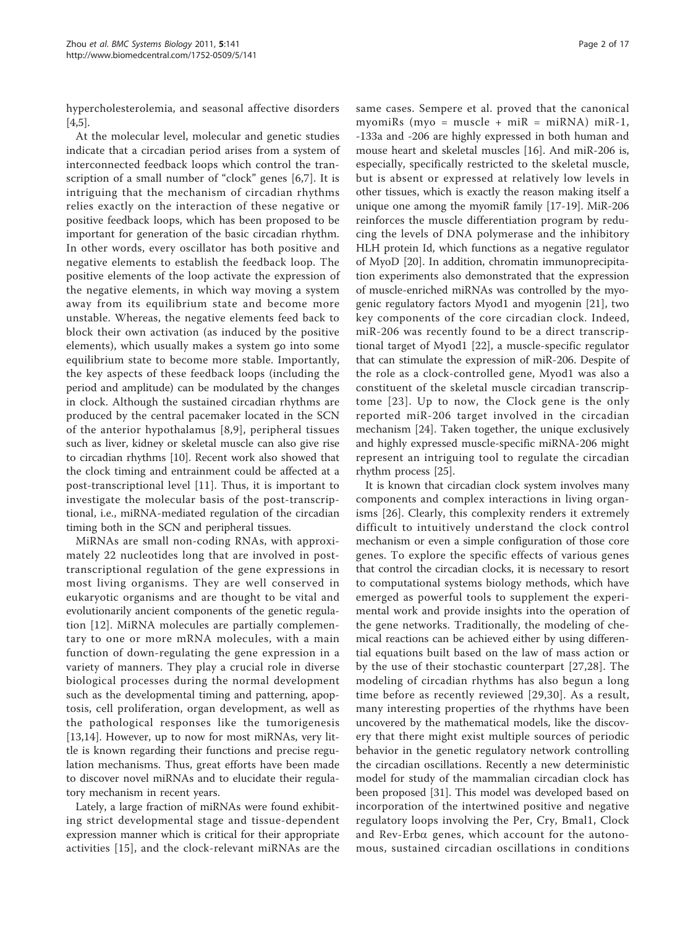hypercholesterolemia, and seasonal affective disorders [[4,5\]](#page-15-0).

At the molecular level, molecular and genetic studies indicate that a circadian period arises from a system of interconnected feedback loops which control the transcription of a small number of "clock" genes [[6,7\]](#page-15-0). It is intriguing that the mechanism of circadian rhythms relies exactly on the interaction of these negative or positive feedback loops, which has been proposed to be important for generation of the basic circadian rhythm. In other words, every oscillator has both positive and negative elements to establish the feedback loop. The positive elements of the loop activate the expression of the negative elements, in which way moving a system away from its equilibrium state and become more unstable. Whereas, the negative elements feed back to block their own activation (as induced by the positive elements), which usually makes a system go into some equilibrium state to become more stable. Importantly, the key aspects of these feedback loops (including the period and amplitude) can be modulated by the changes in clock. Although the sustained circadian rhythms are produced by the central pacemaker located in the SCN of the anterior hypothalamus [[8](#page-15-0),[9\]](#page-15-0), peripheral tissues such as liver, kidney or skeletal muscle can also give rise to circadian rhythms [[10](#page-15-0)]. Recent work also showed that the clock timing and entrainment could be affected at a post-transcriptional level [[11](#page-15-0)]. Thus, it is important to investigate the molecular basis of the post-transcriptional, i.e., miRNA-mediated regulation of the circadian timing both in the SCN and peripheral tissues.

MiRNAs are small non-coding RNAs, with approximately 22 nucleotides long that are involved in posttranscriptional regulation of the gene expressions in most living organisms. They are well conserved in eukaryotic organisms and are thought to be vital and evolutionarily ancient components of the genetic regulation [[12\]](#page-15-0). MiRNA molecules are partially complementary to one or more mRNA molecules, with a main function of down-regulating the gene expression in a variety of manners. They play a crucial role in diverse biological processes during the normal development such as the developmental timing and patterning, apoptosis, cell proliferation, organ development, as well as the pathological responses like the tumorigenesis [[13,14\]](#page-15-0). However, up to now for most miRNAs, very little is known regarding their functions and precise regulation mechanisms. Thus, great efforts have been made to discover novel miRNAs and to elucidate their regulatory mechanism in recent years.

Lately, a large fraction of miRNAs were found exhibiting strict developmental stage and tissue-dependent expression manner which is critical for their appropriate activities [[15](#page-15-0)], and the clock-relevant miRNAs are the same cases. Sempere et al. proved that the canonical myomiRs (myo = muscle + miR = miRNA) miR-1, -133a and -206 are highly expressed in both human and mouse heart and skeletal muscles [\[16](#page-15-0)]. And miR-206 is, especially, specifically restricted to the skeletal muscle, but is absent or expressed at relatively low levels in other tissues, which is exactly the reason making itself a unique one among the myomiR family [[17-19\]](#page-15-0). MiR-206 reinforces the muscle differentiation program by reducing the levels of DNA polymerase and the inhibitory HLH protein Id, which functions as a negative regulator of MyoD [\[20](#page-15-0)]. In addition, chromatin immunoprecipitation experiments also demonstrated that the expression of muscle-enriched miRNAs was controlled by the myogenic regulatory factors Myod1 and myogenin [[21\]](#page-15-0), two key components of the core circadian clock. Indeed, miR-206 was recently found to be a direct transcriptional target of Myod1 [[22\]](#page-15-0), a muscle-specific regulator that can stimulate the expression of miR-206. Despite of the role as a clock-controlled gene, Myod1 was also a constituent of the skeletal muscle circadian transcriptome [[23](#page-15-0)]. Up to now, the Clock gene is the only reported miR-206 target involved in the circadian mechanism [\[24](#page-15-0)]. Taken together, the unique exclusively and highly expressed muscle-specific miRNA-206 might represent an intriguing tool to regulate the circadian rhythm process [\[25](#page-15-0)].

It is known that circadian clock system involves many components and complex interactions in living organisms [\[26](#page-15-0)]. Clearly, this complexity renders it extremely difficult to intuitively understand the clock control mechanism or even a simple configuration of those core genes. To explore the specific effects of various genes that control the circadian clocks, it is necessary to resort to computational systems biology methods, which have emerged as powerful tools to supplement the experimental work and provide insights into the operation of the gene networks. Traditionally, the modeling of chemical reactions can be achieved either by using differential equations built based on the law of mass action or by the use of their stochastic counterpart [[27](#page-15-0),[28\]](#page-15-0). The modeling of circadian rhythms has also begun a long time before as recently reviewed [\[29,30\]](#page-15-0). As a result, many interesting properties of the rhythms have been uncovered by the mathematical models, like the discovery that there might exist multiple sources of periodic behavior in the genetic regulatory network controlling the circadian oscillations. Recently a new deterministic model for study of the mammalian circadian clock has been proposed [\[31](#page-15-0)]. This model was developed based on incorporation of the intertwined positive and negative regulatory loops involving the Per, Cry, Bmal1, Clock and Rev-Erba genes, which account for the autonomous, sustained circadian oscillations in conditions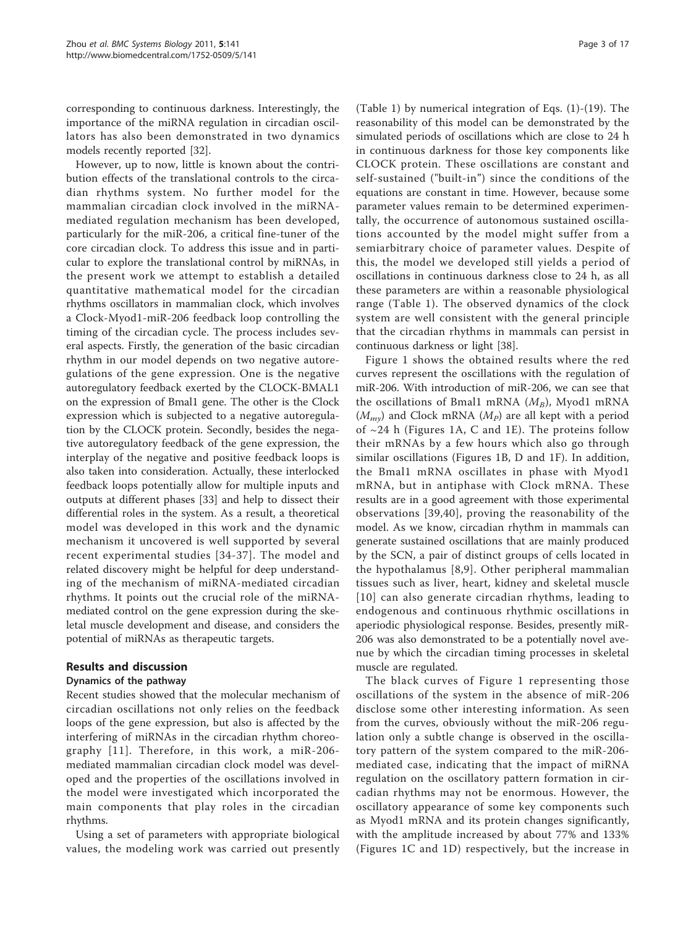corresponding to continuous darkness. Interestingly, the importance of the miRNA regulation in circadian oscillators has also been demonstrated in two dynamics models recently reported [[32](#page-15-0)].

However, up to now, little is known about the contribution effects of the translational controls to the circadian rhythms system. No further model for the mammalian circadian clock involved in the miRNAmediated regulation mechanism has been developed, particularly for the miR-206, a critical fine-tuner of the core circadian clock. To address this issue and in particular to explore the translational control by miRNAs, in the present work we attempt to establish a detailed quantitative mathematical model for the circadian rhythms oscillators in mammalian clock, which involves a Clock-Myod1-miR-206 feedback loop controlling the timing of the circadian cycle. The process includes several aspects. Firstly, the generation of the basic circadian rhythm in our model depends on two negative autoregulations of the gene expression. One is the negative autoregulatory feedback exerted by the CLOCK-BMAL1 on the expression of Bmal1 gene. The other is the Clock expression which is subjected to a negative autoregulation by the CLOCK protein. Secondly, besides the negative autoregulatory feedback of the gene expression, the interplay of the negative and positive feedback loops is also taken into consideration. Actually, these interlocked feedback loops potentially allow for multiple inputs and outputs at different phases [[33](#page-15-0)] and help to dissect their differential roles in the system. As a result, a theoretical model was developed in this work and the dynamic mechanism it uncovered is well supported by several recent experimental studies [[34](#page-15-0)-[37\]](#page-15-0). The model and related discovery might be helpful for deep understanding of the mechanism of miRNA-mediated circadian rhythms. It points out the crucial role of the miRNAmediated control on the gene expression during the skeletal muscle development and disease, and considers the potential of miRNAs as therapeutic targets.

# Results and discussion

# Dynamics of the pathway

Recent studies showed that the molecular mechanism of circadian oscillations not only relies on the feedback loops of the gene expression, but also is affected by the interfering of miRNAs in the circadian rhythm choreography [[11](#page-15-0)]. Therefore, in this work, a miR-206 mediated mammalian circadian clock model was developed and the properties of the oscillations involved in the model were investigated which incorporated the main components that play roles in the circadian rhythms.

Using a set of parameters with appropriate biological values, the modeling work was carried out presently

(Table [1\)](#page-3-0) by numerical integration of Eqs. (1)-(19). The reasonability of this model can be demonstrated by the simulated periods of oscillations which are close to 24 h in continuous darkness for those key components like CLOCK protein. These oscillations are constant and self-sustained ("built-in") since the conditions of the equations are constant in time. However, because some parameter values remain to be determined experimentally, the occurrence of autonomous sustained oscillations accounted by the model might suffer from a semiarbitrary choice of parameter values. Despite of this, the model we developed still yields a period of oscillations in continuous darkness close to 24 h, as all these parameters are within a reasonable physiological range (Table [1](#page-3-0)). The observed dynamics of the clock system are well consistent with the general principle that the circadian rhythms in mammals can persist in continuous darkness or light [[38](#page-15-0)].

Figure [1](#page-5-0) shows the obtained results where the red curves represent the oscillations with the regulation of miR-206. With introduction of miR-206, we can see that the oscillations of Bmal1 mRNA  $(M_B)$ , Myod1 mRNA  $(M_{mv})$  and Clock mRNA  $(M_p)$  are all kept with a period of  $\sim$ 24 h (Figures [1A, C](#page-5-0) and [1E](#page-5-0)). The proteins follow their mRNAs by a few hours which also go through similar oscillations (Figures [1B, D](#page-5-0) and [1F](#page-5-0)). In addition, the Bmal1 mRNA oscillates in phase with Myod1 mRNA, but in antiphase with Clock mRNA. These results are in a good agreement with those experimental observations [[39,40\]](#page-15-0), proving the reasonability of the model. As we know, circadian rhythm in mammals can generate sustained oscillations that are mainly produced by the SCN, a pair of distinct groups of cells located in the hypothalamus [\[8](#page-15-0),[9](#page-15-0)]. Other peripheral mammalian tissues such as liver, heart, kidney and skeletal muscle [[10\]](#page-15-0) can also generate circadian rhythms, leading to endogenous and continuous rhythmic oscillations in aperiodic physiological response. Besides, presently miR-206 was also demonstrated to be a potentially novel avenue by which the circadian timing processes in skeletal muscle are regulated.

The black curves of Figure [1](#page-5-0) representing those oscillations of the system in the absence of miR-206 disclose some other interesting information. As seen from the curves, obviously without the miR-206 regulation only a subtle change is observed in the oscillatory pattern of the system compared to the miR-206 mediated case, indicating that the impact of miRNA regulation on the oscillatory pattern formation in circadian rhythms may not be enormous. However, the oscillatory appearance of some key components such as Myod1 mRNA and its protein changes significantly, with the amplitude increased by about 77% and 133% (Figures [1C](#page-5-0) and [1D](#page-5-0)) respectively, but the increase in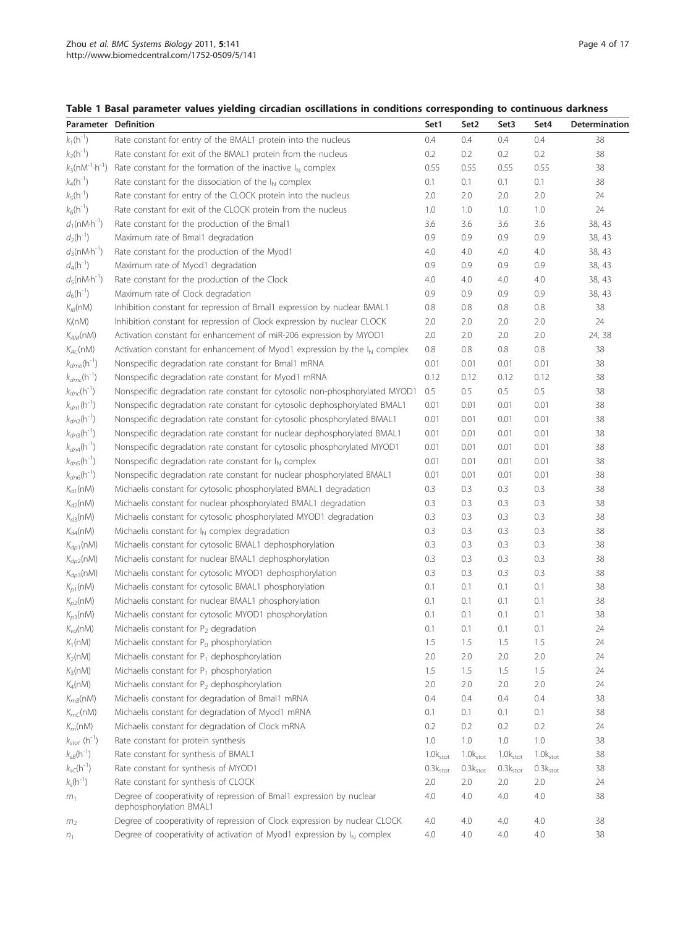# <span id="page-3-0"></span>Table 1 Basal parameter values yielding circadian oscillations in conditions corresponding to continuous darkness

| <b>Parameter Definition</b>           |                                                                                                 | Set1          | Set <sub>2</sub>     | Set3                 | Set4          | Determination |
|---------------------------------------|-------------------------------------------------------------------------------------------------|---------------|----------------------|----------------------|---------------|---------------|
| $k_1(h^{-1})$                         | Rate constant for entry of the BMAL1 protein into the nucleus                                   | 0.4           | 0.4                  | 0.4                  | 0.4           | 38            |
| $k_2(h^{-1})$                         | Rate constant for exit of the BMAL1 protein from the nucleus                                    | 0.2           | 0.2                  | 0.2                  | 0.2           | 38            |
| $k_3$ (n $M^{-1} \cdot h^{-1}$ )      | Rate constant for the formation of the inactive $I_N$ complex                                   | 0.55          | 0.55                 | 0.55                 | 0.55          | 38            |
| $k_4(h^{-1})$                         | Rate constant for the dissociation of the $I_N$ complex                                         | 0.1           | 0.1                  | 0.1                  | 0.1           | 38            |
| $k_5(h^{-1})$                         | Rate constant for entry of the CLOCK protein into the nucleus                                   | 2.0           | 2.0                  | 2.0                  | 2.0           | 24            |
| $k_6(h^{-1})$                         | Rate constant for exit of the CLOCK protein from the nucleus                                    | 1.0           | 1.0                  | 1.0                  | 1.0           | 24            |
| $d_1$ (nM $\cdot$ h <sup>-1</sup> )   | Rate constant for the production of the Bmal1                                                   | 3.6           | 3.6                  | 3.6                  | 3.6           | 38, 43        |
| $d_2(h^{-1})$                         | Maximum rate of Bmal1 degradation                                                               | 0.9           | 0.9                  | 0.9                  | 0.9           | 38, 43        |
| $d_3$ (nM $\cdot$ h <sup>-1</sup> )   | Rate constant for the production of the Myod1                                                   | 4.0           | 4.0                  | 4.0                  | 4.0           | 38, 43        |
| $d_4(h^{-1})$                         | Maximum rate of Myod1 degradation                                                               | 0.9           | 0.9                  | 0.9                  | 0.9           | 38, 43        |
| $d_5(nM\cdot h^{-1})$                 | Rate constant for the production of the Clock                                                   | 4.0           | 4.0                  | 4.0                  | 4.0           | 38, 43        |
| $d_6(h^{-1})$                         | Maximum rate of Clock degradation                                                               | 0.9           | 0.9                  | 0.9                  | 0.9           | 38, 43        |
| $K_{IB}(nM)$                          | Inhibition constant for repression of Bmal1 expression by nuclear BMAL1                         | 0.8           | 0.8                  | 0.8                  | $0.8\,$       | 38            |
| $K_I(nM)$                             | Inhibition constant for repression of Clock expression by nuclear CLOCK                         | 2.0           | 2.0                  | 2.0                  | 2.0           | 24            |
| $K_{AM}$ (nM)                         | Activation constant for enhancement of miR-206 expression by MYOD1                              | 2.0           | 2.0                  | 2.0                  | 2.0           | 24, 38        |
| $K_{AC}(nM)$                          | Activation constant for enhancement of Myod1 expression by the $I_N$ complex                    | 0.8           | 0.8                  | $0.8\,$              | 0.8           | 38            |
| $k_{dmb}(\text{h}^{-1})$              | Nonspecific degradation rate constant for Bmal1 mRNA                                            | 0.01          | 0.01                 | 0.01                 | 0.01          | 38            |
| $k_{dmc}(\boldsymbol{h}^{\text{-}1})$ | Nonspecific degradation rate constant for Myod1 mRNA                                            | 0.12          | 0.12                 | 0.12                 | 0.12          | 38            |
| $k_{dnc}$ (h <sup>-1</sup> )          | Nonspecific degradation rate constant for cytosolic non-phosphorylated MYOD1                    | 0.5           | 0.5                  | 0.5                  | 0.5           | 38            |
| $k_{dn1}$ (h <sup>-1</sup> )          | Nonspecific degradation rate constant for cytosolic dephosphorylated BMAL1                      | 0.01          | 0.01                 | 0.01                 | 0.01          | 38            |
| $k_{dn2}$ (h <sup>-1</sup> )          | Nonspecific degradation rate constant for cytosolic phosphorylated BMAL1                        | 0.01          | 0.01                 | 0.01                 | 0.01          | 38            |
| $k_{dn3}$ (h <sup>-1</sup> )          | Nonspecific degradation rate constant for nuclear dephosphorylated BMAL1                        | 0.01          | 0.01                 | 0.01                 | 0.01          | 38            |
| $k_{dn4}$ (h <sup>-1</sup> )          | Nonspecific degradation rate constant for cytosolic phosphorylated MYOD1                        | 0.01          | 0.01                 | 0.01                 | 0.01          | 38            |
| $k_{dn5}$ (h <sup>-1</sup> )          | Nonspecific degradation rate constant for $I_N$ complex                                         | 0.01          | 0.01                 | 0.01                 | 0.01          | 38            |
| $k_{dn6}$ (h <sup>-1</sup> )          | Nonspecific degradation rate constant for nuclear phosphorylated BMAL1                          | 0.01          | 0.01                 | 0.01                 | 0.01          | 38            |
| $K_{d1}(nM)$                          | Michaelis constant for cytosolic phosphorylated BMAL1 degradation                               | 0.3           | 0.3                  | 0.3                  | 0.3           | 38            |
| $K_{d2}(nM)$                          | Michaelis constant for nuclear phosphorylated BMAL1 degradation                                 | 0.3           | 0.3                  | 0.3                  | 0.3           | 38            |
| $K_{d3}(nM)$                          | Michaelis constant for cytosolic phosphorylated MYOD1 degradation                               | 0.3           | 0.3                  | 0.3                  | 0.3           | 38            |
| $K_{d4}(nM)$                          | Michaelis constant for $I_N$ complex degradation                                                | 0.3           | 0.3                  | 0.3                  | 0.3           | 38            |
| $K_{dp1}(nM)$                         | Michaelis constant for cytosolic BMAL1 dephosphorylation                                        | 0.3           | 0.3                  | 0.3                  | 0.3           | 38            |
| $K_{dp2}(nM)$                         | Michaelis constant for nuclear BMAL1 dephosphorylation                                          | 0.3           | 0.3                  | 0.3                  | 0.3           | 38            |
| $K_{dp3}(nM)$                         | Michaelis constant for cytosolic MYOD1 dephosphorylation                                        | 0.3           | 0.3                  | 0.3                  | 0.3           | 38            |
| $K_{p1}(nM)$                          | Michaelis constant for cytosolic BMAL1 phosphorylation                                          | 0.1           | 0.1                  | 0.1                  | 0.1           | 38            |
| $K_{p2}(nM)$                          | Michaelis constant for nuclear BMAL1 phosphorylation                                            | 0.1           | 0.1                  | 0.1                  | 0.1           | 38            |
| $K_{p3}(nM)$                          | Michaelis constant for cytosolic MYOD1 phosphorylation                                          | 0.1           | 0.1                  | 0.1                  | 0.1           | 38            |
| $K_{vd}$ (nM)                         | Michaelis constant for $P_2$ degradation                                                        | 0.1           | 0.1                  | 0.1                  | 0.1           | 24            |
| $K_1(nM)$                             | Michaelis constant for P <sub>0</sub> phosphorylation                                           | 1.5           | 1.5                  | 1.5                  | 1.5           | 24            |
| $K_2(nM)$                             | Michaelis constant for $P_1$ dephosphorylation                                                  | 2.0           | 2.0                  | 2.0                  | 2.0           | 24            |
| $K_3(nM)$                             | Michaelis constant for $P_1$ phosphorylation                                                    | 1.5           | 1.5                  | 1.5                  | 1.5           | 24            |
| $K_4(nM)$                             | Michaelis constant for $P_2$ dephosphorylation                                                  | 2.0           | 2.0                  | 2.0                  | 2.0           | 24            |
| $K_{mB}(nM)$                          | Michaelis constant for degradation of Bmal1 mRNA                                                | 0.4           | 0.4                  | 0.4                  | 0.4           | 38            |
| $K_{mC}(nM)$                          | Michaelis constant for degradation of Myod1 mRNA                                                | 0.1           | 0.1                  | 0.1                  | 0.1           | 38            |
| $K_m(nM)$                             | Michaelis constant for degradation of Clock mRNA                                                | 0.2           | 0.2                  | 0.2                  | 0.2           | 24            |
| $k_{stot}$ (h <sup>-1</sup> )         | Rate constant for protein synthesis                                                             | 1.0           | 1.0                  | 1.0                  | 1.0           | 38            |
| $k_{sB}$ (h <sup>-1</sup> )           | Rate constant for synthesis of BMAL1                                                            | $1.0k_{stot}$ | 1.0k <sub>stot</sub> | $1.0k_{stot}$        | $1.0k_{stot}$ | 38            |
| $k_{sC}$ (h <sup>-1</sup> )           | Rate constant for synthesis of MYOD1                                                            | $0.3k_{stot}$ | 0.3k <sub>stot</sub> | 0.3k <sub>stot</sub> | $0.3k_{stot}$ | 38            |
| $k_s(h^{-1})$                         | Rate constant for synthesis of CLOCK                                                            | 2.0           | 2.0                  | 2.0                  | 2.0           | 24            |
| m <sub>1</sub>                        | Degree of cooperativity of repression of Bmal1 expression by nuclear<br>dephosphorylation BMAL1 | 4.0           | 4.0                  | 4.0                  | 4.0           | 38            |
| m <sub>2</sub>                        | Degree of cooperativity of repression of Clock expression by nuclear CLOCK                      | 4.0           | 4.0                  | 4.0                  | 4.0           | 38            |
| $n_1$                                 | Degree of cooperativity of activation of Myod1 expression by $I_N$ complex                      | 4.0           | 4.0                  | 4.0                  | 4.0           | 38            |
|                                       |                                                                                                 |               |                      |                      |               |               |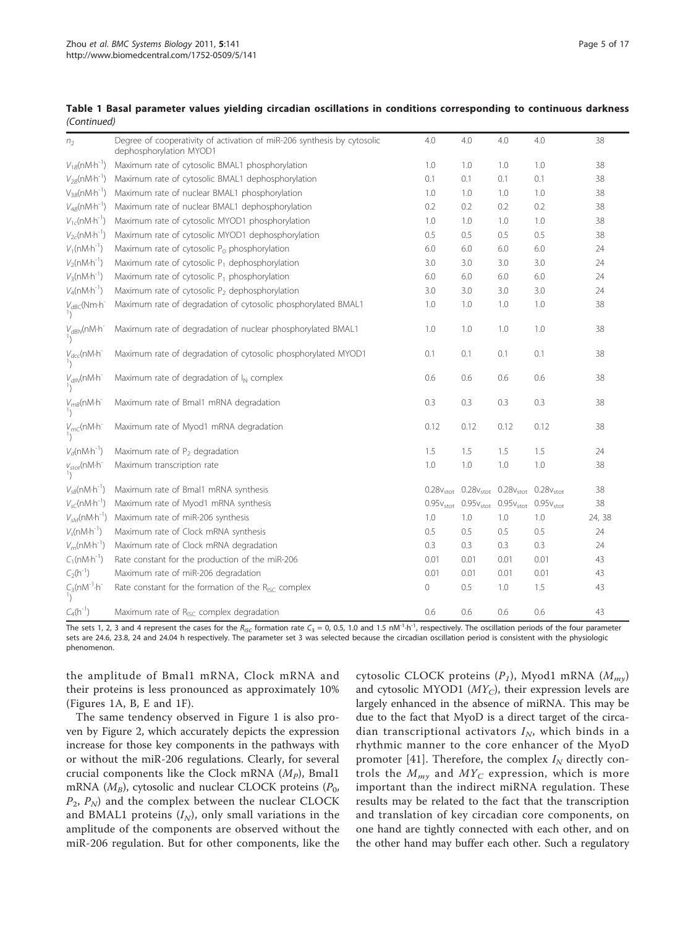|             |  |  |  | Table 1 Basal parameter values yielding circadian oscillations in conditions corresponding to continuous darkness |  |  |
|-------------|--|--|--|-------------------------------------------------------------------------------------------------------------------|--|--|
| (Continued) |  |  |  |                                                                                                                   |  |  |

| n <sub>2</sub>                             | Degree of cooperativity of activation of miR-206 synthesis by cytosolic<br>dephosphorylation MYOD1 | 4.0                   | 4.0                   | 4.0                                                                                     | 4.0                   | 38     |
|--------------------------------------------|----------------------------------------------------------------------------------------------------|-----------------------|-----------------------|-----------------------------------------------------------------------------------------|-----------------------|--------|
| $V_{1B}$ (nM·h <sup>-1</sup> )             | Maximum rate of cytosolic BMAL1 phosphorylation                                                    | 1.0                   | 1.0                   | 1.0                                                                                     | 1.0                   | 38     |
| $V_{2B}$ (nM·h <sup>-1</sup> )             | Maximum rate of cytosolic BMAL1 dephosphorylation                                                  | 0.1                   | 0.1                   | 0.1                                                                                     | 0.1                   | 38     |
| $V_{3B}(nM\cdot h^{-1})$                   | Maximum rate of nuclear BMAL1 phosphorylation                                                      | 1.0                   | 1.0                   | 1.0                                                                                     | 1.0                   | 38     |
| $V_{4B}$ (nM·h <sup>-1</sup> )             | Maximum rate of nuclear BMAL1 dephosphorylation                                                    | 0.2                   | 0.2                   | 0.2                                                                                     | 0.2                   | 38     |
| $V_{1c}$ (nM·h <sup>-1</sup> )             | Maximum rate of cytosolic MYOD1 phosphorylation                                                    | 1.0                   | 1.0                   | 1.0                                                                                     | 1.0                   | 38     |
| $V_{2c}$ (nM·h <sup>-1</sup> )             | Maximum rate of cytosolic MYOD1 dephosphorylation                                                  | 0.5                   | 0.5                   | 0.5                                                                                     | 0.5                   | 38     |
| $V_1(nM \cdot h^{-1})$                     | Maximum rate of cytosolic P <sub>0</sub> phosphorylation                                           | 6.0                   | 6.0                   | 6.0                                                                                     | 6.0                   | 24     |
| $V_2(nM\cdot h^{-1})$                      | Maximum rate of cytosolic $P_1$ dephosphorylation                                                  | 3.0                   | 3.0                   | 3.0                                                                                     | 3.0                   | 24     |
| $V_3(nM\cdot h^{-1})$                      | Maximum rate of cytosolic $P_1$ phosphorylation                                                    | 6.0                   | 6.0                   | 6.0                                                                                     | 6.0                   | 24     |
| $V_4$ (nM $\cdot$ h <sup>-1</sup> )        | Maximum rate of cytosolic P <sub>2</sub> dephosphorylation                                         | 3.0                   | 3.0                   | 3.0                                                                                     | 3.0                   | 24     |
| $V_{dBC}$ (Nm·h <sup>-</sup>               | Maximum rate of degradation of cytosolic phosphorylated BMAL1                                      | 1.0                   | 1.0                   | 1.0                                                                                     | 1.0                   | 38     |
| $V_{dBN}(nM\cdot h^{-1})$                  | Maximum rate of degradation of nuclear phosphorylated BMAL1                                        | 1.0                   | 1.0                   | 1.0                                                                                     | 1.0                   | 38     |
| $V_{dec}$ (nM·h <sup>-</sup>               | Maximum rate of degradation of cytosolic phosphorylated MYOD1                                      | 0.1                   | 0.1                   | 0.1                                                                                     | 0.1                   | 38     |
| $V_{\text{dIN}}(nM\cdot h^{-1})$           | Maximum rate of degradation of $I_N$ complex                                                       | 0.6                   | 0.6                   | 0.6                                                                                     | 0.6                   | 38     |
| $V_{mB}$ (nM·h <sup>-1</sup> )             | Maximum rate of Bmal1 mRNA degradation                                                             | 0.3                   | 0.3                   | 0.3                                                                                     | 0.3                   | 38     |
| $V_{mc}$ (nM·h                             | Maximum rate of Myod1 mRNA degradation                                                             | 0.12                  | 0.12                  | 0.12                                                                                    | 0.12                  | 38     |
| $V_d$ (nM $\cdot$ h <sup>-1</sup> )        | Maximum rate of $P_2$ degradation                                                                  | 1.5                   | 1.5                   | 1.5                                                                                     | 1.5                   | 24     |
| $V_{stot}$ (nM·h <sup>-1</sup> )           | Maximum transcription rate                                                                         | 1.0                   | 1.0                   | 1.0                                                                                     | 1.0                   | 38     |
| $V_{sB}$ (nM $\cdot$ h <sup>-1</sup> )     | Maximum rate of Bmal1 mRNA synthesis                                                               |                       |                       | $0.28v_{\text{stot}}$ $0.28v_{\text{stot}}$ $0.28v_{\text{stot}}$ $0.28v_{\text{stot}}$ |                       | 38     |
| $V_{sC}(nM\cdot h^{-1})$                   | Maximum rate of Myod1 mRNA synthesis                                                               | $0.95v_{\text{stot}}$ | $0.95v_{\text{stot}}$ | $0.95v_{\text{stot}}$                                                                   | $0.95v_{\text{stot}}$ | 38     |
| $V_{\rm M}$ (nM·h <sup>-1</sup> )          | Maximum rate of miR-206 synthesis                                                                  | 1.0                   | 1.0                   | 1.0                                                                                     | 1.0                   | 24, 38 |
| $V_{c}(nM\cdot h^{-1})$                    | Maximum rate of Clock mRNA synthesis                                                               | 0.5                   | 0.5                   | 0.5                                                                                     | 0.5                   | 24     |
| $V_m(nM\cdot h^{-1})$                      | Maximum rate of Clock mRNA degradation                                                             | 0.3                   | 0.3                   | 0.3                                                                                     | 0.3                   | 24     |
| $C_1(nM\cdot h^{-1})$                      | Rate constant for the production of the miR-206                                                    | 0.01                  | 0.01                  | 0.01                                                                                    | 0.01                  | 43     |
| $C_2(h^{-1})$                              | Maximum rate of miR-206 degradation                                                                | 0.01                  | 0.01                  | 0.01                                                                                    | 0.01                  | 43     |
| $C_3$ (nM <sup>-1</sup> ·h <sup>-1</sup> ) | Rate constant for the formation of the R <sub>ISC</sub> complex                                    | 0                     | 0.5                   | 1.0                                                                                     | 1.5                   | 43     |
| $C_4(h^{-1})$                              | Maximum rate of R <sub>ISC</sub> complex degradation                                               | 0.6                   | 0.6                   | 0.6                                                                                     | 0.6                   | 43     |

The sets 1, 2, 3 and 4 represent the cases for the R<sub>ISC</sub> formation rate C<sub>3</sub> = 0, 0.5, 1.0 and 1.5 nM<sup>-1</sup>·h<sup>-1</sup>, respectively. The oscillation periods of the four parameter sets are 24.6, 23.8, 24 and 24.04 h respectively. The parameter set 3 was selected because the circadian oscillation period is consistent with the physiologic phenomenon.

the amplitude of Bmal1 mRNA, Clock mRNA and their proteins is less pronounced as approximately 10% (Figures [1A, B, E](#page-5-0) and [1F](#page-5-0)).

The same tendency observed in Figure [1](#page-5-0) is also proven by Figure [2](#page-5-0), which accurately depicts the expression increase for those key components in the pathways with or without the miR-206 regulations. Clearly, for several crucial components like the Clock mRNA  $(M_P)$ , Bmal1 mRNA  $(M_B)$ , cytosolic and nuclear CLOCK proteins  $(P_0,$  $P_2$ ,  $P_N$ ) and the complex between the nuclear CLOCK and BMAL1 proteins  $(I_N)$ , only small variations in the amplitude of the components are observed without the miR-206 regulation. But for other components, like the

cytosolic CLOCK proteins  $(P_1)$ , Myod1 mRNA  $(M_{my})$ and cytosolic MYOD1  $(MY_C)$ , their expression levels are largely enhanced in the absence of miRNA. This may be due to the fact that MyoD is a direct target of the circadian transcriptional activators  $I_N$ , which binds in a rhythmic manner to the core enhancer of the MyoD promoter [[41](#page-15-0)]. Therefore, the complex  $I<sub>N</sub>$  directly controls the  $M_{m\gamma}$  and  $MY_C$  expression, which is more important than the indirect miRNA regulation. These results may be related to the fact that the transcription and translation of key circadian core components, on one hand are tightly connected with each other, and on the other hand may buffer each other. Such a regulatory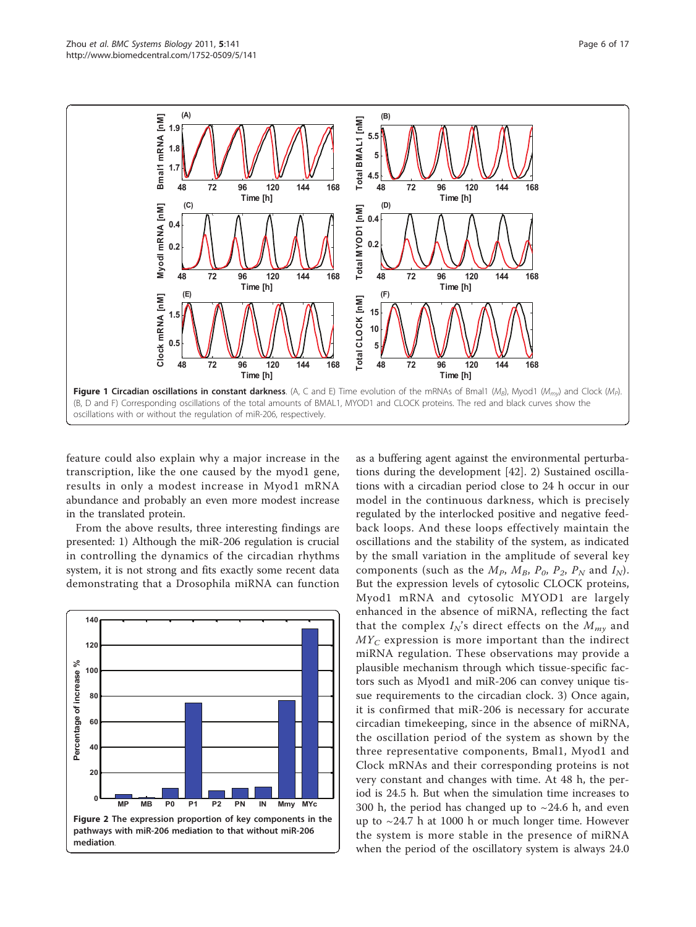<span id="page-5-0"></span>

feature could also explain why a major increase in the transcription, like the one caused by the myod1 gene, results in only a modest increase in Myod1 mRNA abundance and probably an even more modest increase in the translated protein.

From the above results, three interesting findings are presented: 1) Although the miR-206 regulation is crucial in controlling the dynamics of the circadian rhythms system, it is not strong and fits exactly some recent data demonstrating that a Drosophila miRNA can function



as a buffering agent against the environmental perturbations during the development [[42](#page-15-0)]. 2) Sustained oscillations with a circadian period close to 24 h occur in our model in the continuous darkness, which is precisely regulated by the interlocked positive and negative feedback loops. And these loops effectively maintain the oscillations and the stability of the system, as indicated by the small variation in the amplitude of several key components (such as the  $M_P$ ,  $M_B$ ,  $P_0$ ,  $P_2$ ,  $P_N$  and  $I_N$ ). But the expression levels of cytosolic CLOCK proteins, Myod1 mRNA and cytosolic MYOD1 are largely enhanced in the absence of miRNA, reflecting the fact that the complex  $I_N$ 's direct effects on the  $M_{mv}$  and  $MY_C$  expression is more important than the indirect miRNA regulation. These observations may provide a plausible mechanism through which tissue-specific factors such as Myod1 and miR-206 can convey unique tissue requirements to the circadian clock. 3) Once again, it is confirmed that miR-206 is necessary for accurate circadian timekeeping, since in the absence of miRNA, the oscillation period of the system as shown by the three representative components, Bmal1, Myod1 and Clock mRNAs and their corresponding proteins is not very constant and changes with time. At 48 h, the period is 24.5 h. But when the simulation time increases to 300 h, the period has changed up to  $\sim$  24.6 h, and even up to ~24.7 h at 1000 h or much longer time. However the system is more stable in the presence of miRNA when the period of the oscillatory system is always 24.0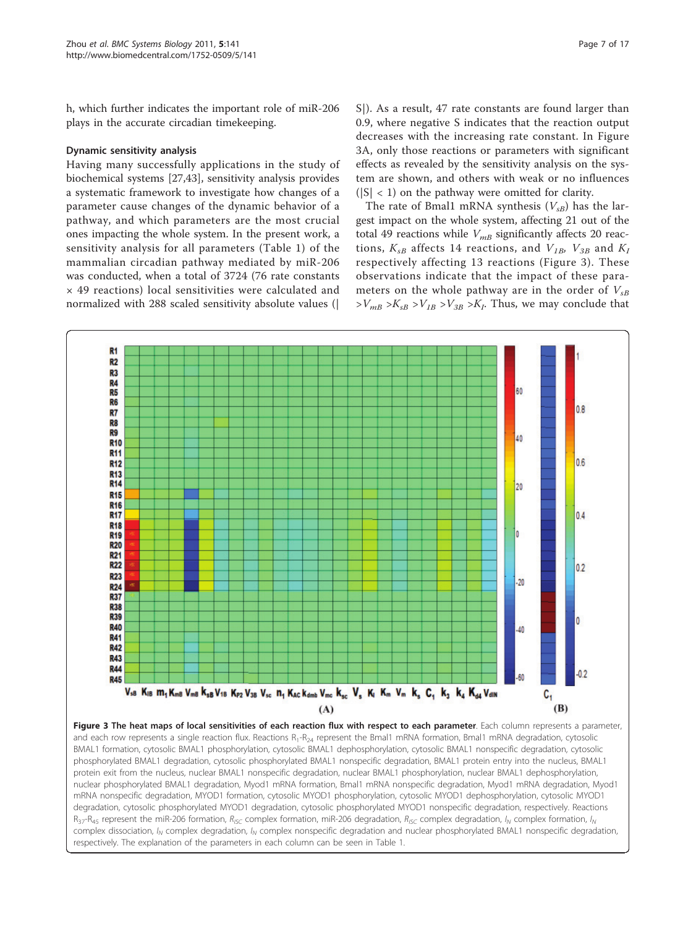<span id="page-6-0"></span>h, which further indicates the important role of miR-206 plays in the accurate circadian timekeeping.

## Dynamic sensitivity analysis

Having many successfully applications in the study of biochemical systems [\[27,43\]](#page-15-0), sensitivity analysis provides a systematic framework to investigate how changes of a parameter cause changes of the dynamic behavior of a pathway, and which parameters are the most crucial ones impacting the whole system. In the present work, a sensitivity analysis for all parameters (Table [1](#page-3-0)) of the mammalian circadian pathway mediated by miR-206 was conducted, when a total of 3724 (76 rate constants × 49 reactions) local sensitivities were calculated and normalized with 288 scaled sensitivity absolute values (|

S|). As a result, 47 rate constants are found larger than 0.9, where negative S indicates that the reaction output decreases with the increasing rate constant. In Figure 3A, only those reactions or parameters with significant effects as revealed by the sensitivity analysis on the system are shown, and others with weak or no influences  $(|S| < 1)$  on the pathway were omitted for clarity.

The rate of Bmal1 mRNA synthesis  $(V_{sR})$  has the largest impact on the whole system, affecting 21 out of the total 49 reactions while  $V_{mB}$  significantly affects 20 reactions,  $K_{sB}$  affects 14 reactions, and  $V_{IB}$ ,  $V_{3B}$  and  $K_I$ respectively affecting 13 reactions (Figure 3). These observations indicate that the impact of these parameters on the whole pathway are in the order of  $V_{sB}$  $>V_{mB} > K_{sB} > V_{1B} > V_{3B} > K_I$ . Thus, we may conclude that



and each row represents a single reaction flux. Reactions  $R_1-R_{24}$  represent the Bmal1 mRNA formation, Bmal1 mRNA degradation, cytosolic BMAL1 formation, cytosolic BMAL1 phosphorylation, cytosolic BMAL1 dephosphorylation, cytosolic BMAL1 nonspecific degradation, cytosolic phosphorylated BMAL1 degradation, cytosolic phosphorylated BMAL1 nonspecific degradation, BMAL1 protein entry into the nucleus, BMAL1 protein exit from the nucleus, nuclear BMAL1 nonspecific degradation, nuclear BMAL1 phosphorylation, nuclear BMAL1 dephosphorylation, nuclear phosphorylated BMAL1 degradation, Myod1 mRNA formation, Bmal1 mRNA nonspecific degradation, Myod1 mRNA degradation, Myod1 mRNA nonspecific degradation, MYOD1 formation, cytosolic MYOD1 phosphorylation, cytosolic MYOD1 dephosphorylation, cytosolic MYOD1 degradation, cytosolic phosphorylated MYOD1 degradation, cytosolic phosphorylated MYOD1 nonspecific degradation, respectively. Reactions  $R_{37}$ -R<sub>45</sub> represent the miR-206 formation,  $R_{ISC}$  complex formation, miR-206 degradation,  $R_{ISC}$  complex degradation,  $I_N$  complex formation,  $I_N$ complex dissociation,  $I_N$  complex degradation,  $I_N$  complex nonspecific degradation and nuclear phosphorylated BMAL1 nonspecific degradation, respectively. The explanation of the parameters in each column can be seen in Table 1.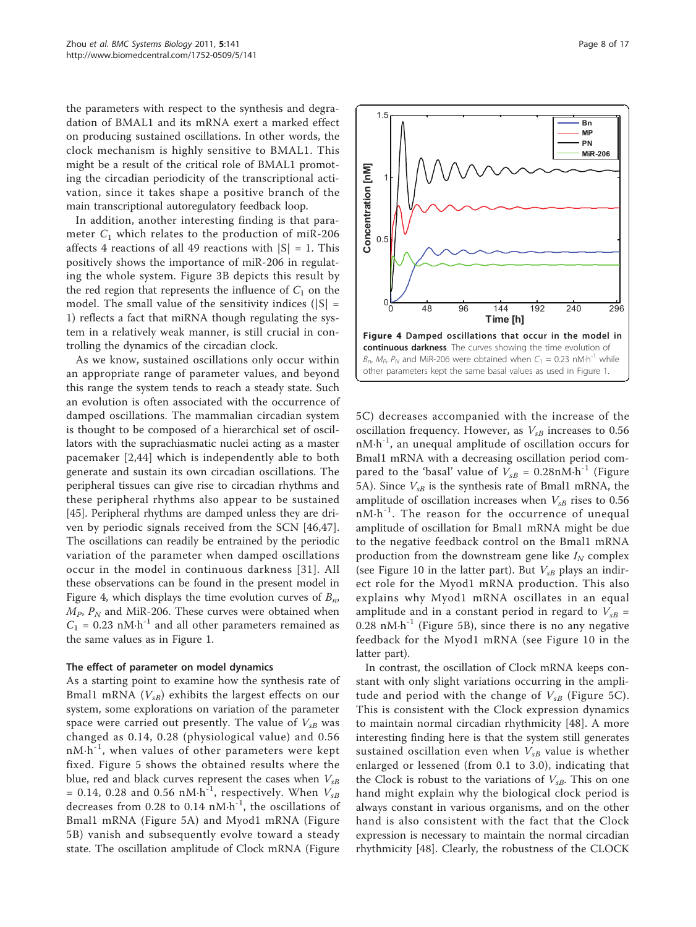the parameters with respect to the synthesis and degradation of BMAL1 and its mRNA exert a marked effect on producing sustained oscillations. In other words, the clock mechanism is highly sensitive to BMAL1. This might be a result of the critical role of BMAL1 promoting the circadian periodicity of the transcriptional activation, since it takes shape a positive branch of the main transcriptional autoregulatory feedback loop.

In addition, another interesting finding is that parameter  $C_1$  which relates to the production of miR-206 affects 4 reactions of all 49 reactions with  $|S| = 1$ . This positively shows the importance of miR-206 in regulating the whole system. Figure [3B](#page-6-0) depicts this result by the red region that represents the influence of  $C_1$  on the model. The small value of the sensitivity indices ( $|S|$  = 1) reflects a fact that miRNA though regulating the system in a relatively weak manner, is still crucial in controlling the dynamics of the circadian clock.

As we know, sustained oscillations only occur within an appropriate range of parameter values, and beyond this range the system tends to reach a steady state. Such an evolution is often associated with the occurrence of damped oscillations. The mammalian circadian system is thought to be composed of a hierarchical set of oscillators with the suprachiasmatic nuclei acting as a master pacemaker [[2,44](#page-15-0)] which is independently able to both generate and sustain its own circadian oscillations. The peripheral tissues can give rise to circadian rhythms and these peripheral rhythms also appear to be sustained [[45\]](#page-15-0). Peripheral rhythms are damped unless they are driven by periodic signals received from the SCN [[46,47](#page-16-0)]. The oscillations can readily be entrained by the periodic variation of the parameter when damped oscillations occur in the model in continuous darkness [\[31](#page-15-0)]. All these observations can be found in the present model in Figure 4, which displays the time evolution curves of  $B_n$ ,  $M_P$ ,  $P_N$  and MiR-206. These curves were obtained when  $C_1$  = 0.23 nM·h<sup>-1</sup> and all other parameters remained as the same values as in Figure [1](#page-5-0).

#### The effect of parameter on model dynamics

As a starting point to examine how the synthesis rate of Bmal1 mRNA  $(V_{sB})$  exhibits the largest effects on our system, some explorations on variation of the parameter space were carried out presently. The value of  $V_{sB}$  was changed as 0.14, 0.28 (physiological value) and 0.56  $nM·h^{-1}$ , when values of other parameters were kept fixed. Figure [5](#page-8-0) shows the obtained results where the blue, red and black curves represent the cases when  $V_{sB}$ = 0.14, 0.28 and 0.56 nM $\cdot$ h<sup>-1</sup>, respectively. When  $V_{sB}$ decreases from 0.28 to 0.14  $nM·h^{-1}$ , the oscillations of Bmal1 mRNA (Figure [5A](#page-8-0)) and Myod1 mRNA (Figure [5B](#page-8-0)) vanish and subsequently evolve toward a steady state. The oscillation amplitude of Clock mRNA (Figure



In contrast, the oscillation of Clock mRNA keeps constant with only slight variations occurring in the amplitude and period with the change of  $V_{sB}$  (Figure [5C\)](#page-8-0). This is consistent with the Clock expression dynamics to maintain normal circadian rhythmicity [\[48](#page-16-0)]. A more interesting finding here is that the system still generates sustained oscillation even when  $V_{sB}$  value is whether enlarged or lessened (from 0.1 to 3.0), indicating that the Clock is robust to the variations of  $V_{sB}$ . This on one hand might explain why the biological clock period is always constant in various organisms, and on the other hand is also consistent with the fact that the Clock expression is necessary to maintain the normal circadian rhythmicity [\[48](#page-16-0)]. Clearly, the robustness of the CLOCK

1.5 **Bn MP PN MiR-206** Concentration [nM] **Concentration [nM]** 1 0.5 0 0 48 96 144 192 240 296 **Time [h]** Figure 4 Damped oscillations that occur in the model in continuous darkness. The curves showing the time evolution of  $B_n$ ,  $M_P$ ,  $P_N$  and MiR-206 were obtained when  $C_1 = 0.23$  nM·h<sup>-1</sup> while other parameters kept the same basal values as used in Figure 1.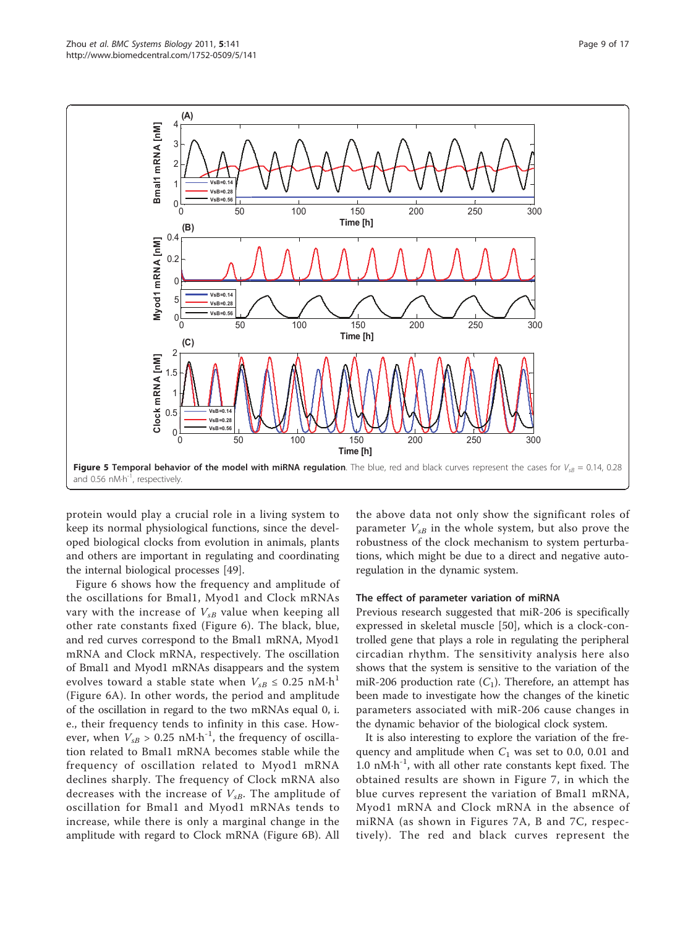<span id="page-8-0"></span>

protein would play a crucial role in a living system to keep its normal physiological functions, since the developed biological clocks from evolution in animals, plants and others are important in regulating and coordinating the internal biological processes [\[49](#page-16-0)].

Figure [6](#page-9-0) shows how the frequency and amplitude of the oscillations for Bmal1, Myod1 and Clock mRNAs vary with the increase of  $V_{sB}$  value when keeping all other rate constants fixed (Figure [6\)](#page-9-0). The black, blue, and red curves correspond to the Bmal1 mRNA, Myod1 mRNA and Clock mRNA, respectively. The oscillation of Bmal1 and Myod1 mRNAs disappears and the system evolves toward a stable state when  $V_{sB} \leq 0.25$  nM $\cdot$ h<sup>1</sup> (Figure [6A\)](#page-9-0). In other words, the period and amplitude of the oscillation in regard to the two mRNAs equal 0, i. e., their frequency tends to infinity in this case. However, when  $V_{sB} > 0.25$  nM·h<sup>-1</sup>, the frequency of oscillation related to Bmal1 mRNA becomes stable while the frequency of oscillation related to Myod1 mRNA declines sharply. The frequency of Clock mRNA also decreases with the increase of  $V_{sB}$ . The amplitude of oscillation for Bmal1 and Myod1 mRNAs tends to increase, while there is only a marginal change in the amplitude with regard to Clock mRNA (Figure [6B](#page-9-0)). All the above data not only show the significant roles of parameter  $V_{sB}$  in the whole system, but also prove the robustness of the clock mechanism to system perturbations, which might be due to a direct and negative autoregulation in the dynamic system.

## The effect of parameter variation of miRNA

Previous research suggested that miR-206 is specifically expressed in skeletal muscle [[50\]](#page-16-0), which is a clock-controlled gene that plays a role in regulating the peripheral circadian rhythm. The sensitivity analysis here also shows that the system is sensitive to the variation of the miR-206 production rate  $(C_1)$ . Therefore, an attempt has been made to investigate how the changes of the kinetic parameters associated with miR-206 cause changes in the dynamic behavior of the biological clock system.

It is also interesting to explore the variation of the frequency and amplitude when  $C_1$  was set to 0.0, 0.01 and 1.0  $nM·h^{-1}$ , with all other rate constants kept fixed. The obtained results are shown in Figure [7,](#page-9-0) in which the blue curves represent the variation of Bmal1 mRNA, Myod1 mRNA and Clock mRNA in the absence of miRNA (as shown in Figures [7A, B](#page-9-0) and [7C](#page-9-0), respectively). The red and black curves represent the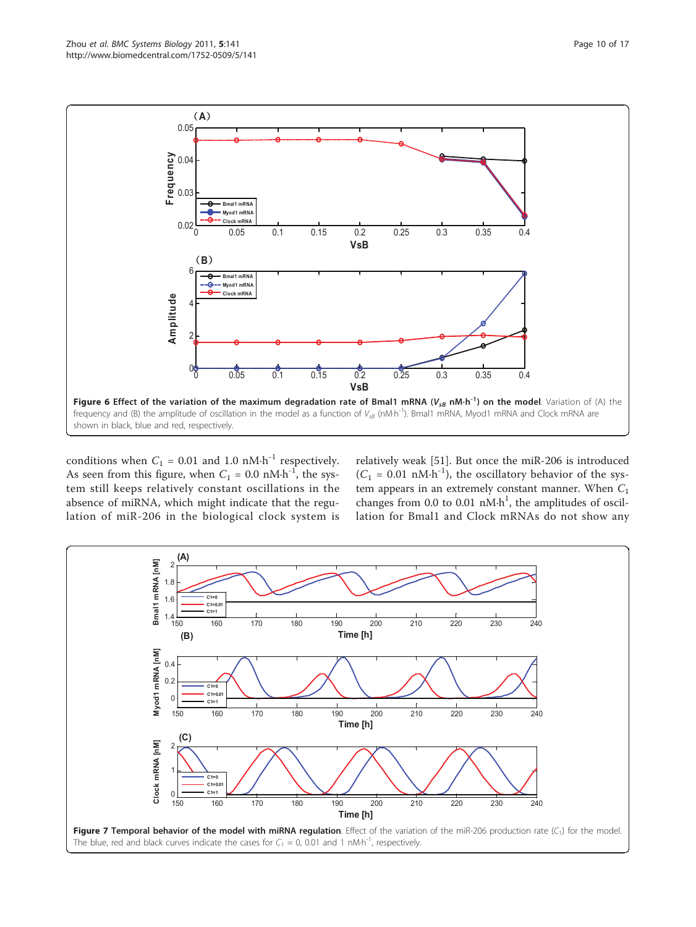<span id="page-9-0"></span>

conditions when  $C_1$  = 0.01 and 1.0 nM·h<sup>-1</sup> respectively. As seen from this figure, when  $C_1 = 0.0 \text{ nM·h}^{-1}$ , the system still keeps relatively constant oscillations in the absence of miRNA, which might indicate that the regulation of miR-206 in the biological clock system is

relatively weak [[51](#page-16-0)]. But once the miR-206 is introduced  $(C_1 = 0.01 \text{ nM·h}^{-1})$ , the oscillatory behavior of the system appears in an extremely constant manner. When  $C_1$ changes from 0.0 to 0.01  $nM·h<sup>1</sup>$ , the amplitudes of oscillation for Bmal1 and Clock mRNAs do not show any

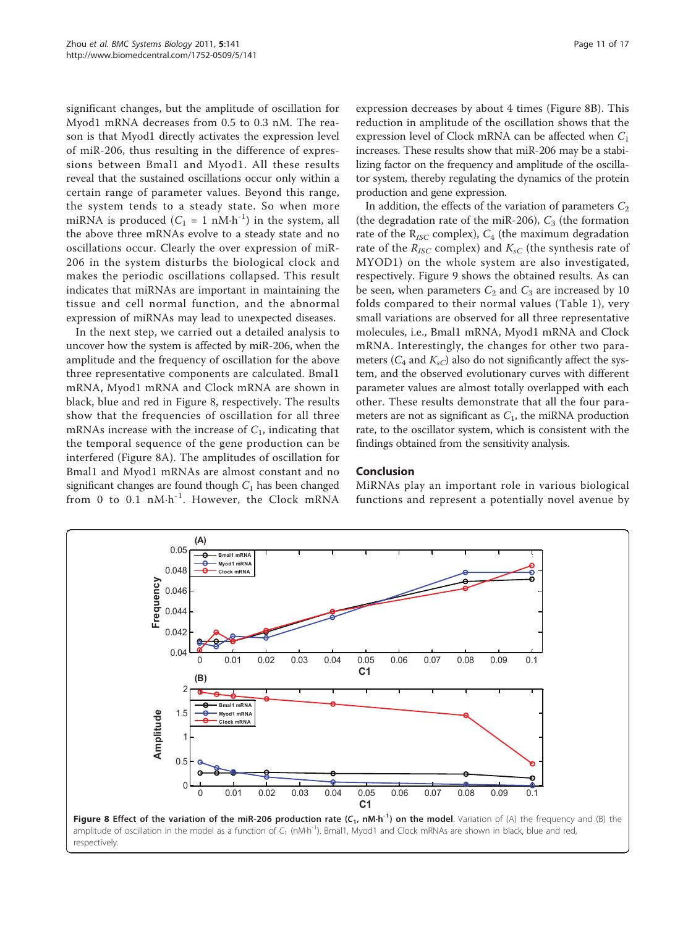significant changes, but the amplitude of oscillation for Myod1 mRNA decreases from 0.5 to 0.3 nM. The reason is that Myod1 directly activates the expression level of miR-206, thus resulting in the difference of expressions between Bmal1 and Myod1. All these results reveal that the sustained oscillations occur only within a certain range of parameter values. Beyond this range, the system tends to a steady state. So when more miRNA is produced  $(C_1 = 1 \text{ nM} \cdot \text{h}^{-1})$  in the system, all the above three mRNAs evolve to a steady state and no oscillations occur. Clearly the over expression of miR-206 in the system disturbs the biological clock and makes the periodic oscillations collapsed. This result indicates that miRNAs are important in maintaining the tissue and cell normal function, and the abnormal expression of miRNAs may lead to unexpected diseases.

In the next step, we carried out a detailed analysis to uncover how the system is affected by miR-206, when the amplitude and the frequency of oscillation for the above three representative components are calculated. Bmal1 mRNA, Myod1 mRNA and Clock mRNA are shown in black, blue and red in Figure 8, respectively. The results show that the frequencies of oscillation for all three mRNAs increase with the increase of  $C_1$ , indicating that the temporal sequence of the gene production can be interfered (Figure 8A). The amplitudes of oscillation for Bmal1 and Myod1 mRNAs are almost constant and no significant changes are found though  $C_1$  has been changed from 0 to 0.1 nM·h<sup>-1</sup>. However, the Clock mRNA

expression decreases by about 4 times (Figure 8B). This reduction in amplitude of the oscillation shows that the expression level of Clock mRNA can be affected when  $C_1$ increases. These results show that miR-206 may be a stabilizing factor on the frequency and amplitude of the oscillator system, thereby regulating the dynamics of the protein production and gene expression.

In addition, the effects of the variation of parameters  $C_2$ (the degradation rate of the miR-206),  $C_3$  (the formation rate of the  $R_{ISC}$  complex),  $C_4$  (the maximum degradation rate of the  $R_{ISC}$  complex) and  $K_{sC}$  (the synthesis rate of MYOD1) on the whole system are also investigated, respectively. Figure [9](#page-11-0) shows the obtained results. As can be seen, when parameters  $C_2$  and  $C_3$  are increased by 10 folds compared to their normal values (Table [1\)](#page-3-0), very small variations are observed for all three representative molecules, i.e., Bmal1 mRNA, Myod1 mRNA and Clock mRNA. Interestingly, the changes for other two parameters ( $C_4$  and  $K_{sC}$ ) also do not significantly affect the system, and the observed evolutionary curves with different parameter values are almost totally overlapped with each other. These results demonstrate that all the four parameters are not as significant as  $C_1$ , the miRNA production rate, to the oscillator system, which is consistent with the findings obtained from the sensitivity analysis.

## Conclusion

MiRNAs play an important role in various biological functions and represent a potentially novel avenue by



respectively.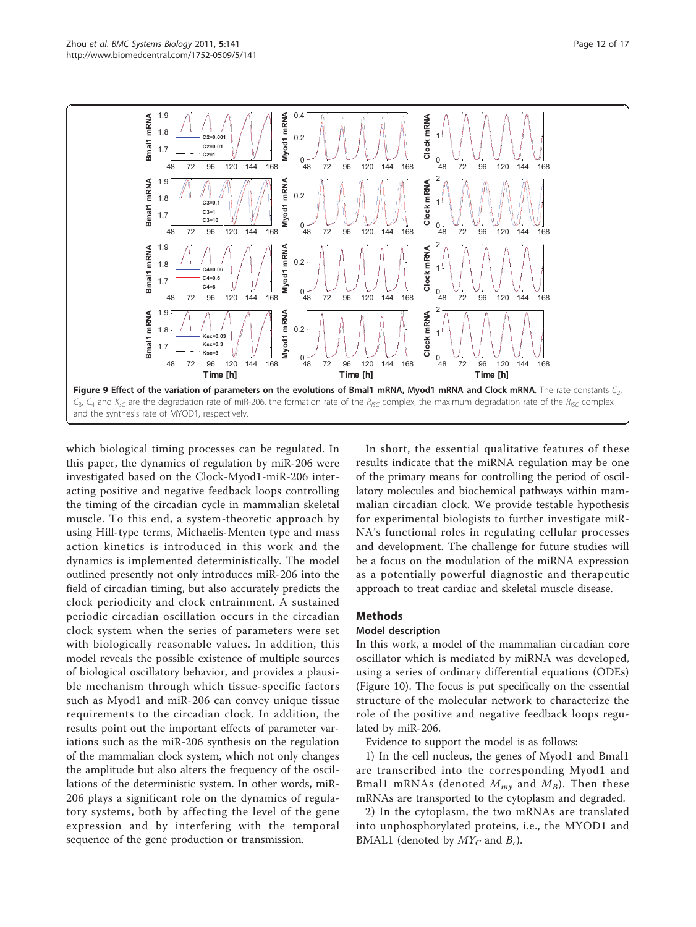<span id="page-11-0"></span>

which biological timing processes can be regulated. In this paper, the dynamics of regulation by miR-206 were investigated based on the Clock-Myod1-miR-206 interacting positive and negative feedback loops controlling the timing of the circadian cycle in mammalian skeletal muscle. To this end, a system-theoretic approach by using Hill-type terms, Michaelis-Menten type and mass action kinetics is introduced in this work and the dynamics is implemented deterministically. The model outlined presently not only introduces miR-206 into the field of circadian timing, but also accurately predicts the clock periodicity and clock entrainment. A sustained periodic circadian oscillation occurs in the circadian clock system when the series of parameters were set with biologically reasonable values. In addition, this model reveals the possible existence of multiple sources of biological oscillatory behavior, and provides a plausible mechanism through which tissue-specific factors such as Myod1 and miR-206 can convey unique tissue requirements to the circadian clock. In addition, the results point out the important effects of parameter variations such as the miR-206 synthesis on the regulation of the mammalian clock system, which not only changes the amplitude but also alters the frequency of the oscillations of the deterministic system. In other words, miR-206 plays a significant role on the dynamics of regulatory systems, both by affecting the level of the gene expression and by interfering with the temporal sequence of the gene production or transmission.

In short, the essential qualitative features of these results indicate that the miRNA regulation may be one of the primary means for controlling the period of oscillatory molecules and biochemical pathways within mammalian circadian clock. We provide testable hypothesis for experimental biologists to further investigate miR-NA's functional roles in regulating cellular processes and development. The challenge for future studies will be a focus on the modulation of the miRNA expression as a potentially powerful diagnostic and therapeutic approach to treat cardiac and skeletal muscle disease.

## Methods

## Model description

In this work, a model of the mammalian circadian core oscillator which is mediated by miRNA was developed, using a series of ordinary differential equations (ODEs) (Figure [10\)](#page-12-0). The focus is put specifically on the essential structure of the molecular network to characterize the role of the positive and negative feedback loops regulated by miR-206.

Evidence to support the model is as follows:

1) In the cell nucleus, the genes of Myod1 and Bmal1 are transcribed into the corresponding Myod1 and Bmal1 mRNAs (denoted  $M_{my}$  and  $M_B$ ). Then these mRNAs are transported to the cytoplasm and degraded.

2) In the cytoplasm, the two mRNAs are translated into unphosphorylated proteins, i.e., the MYOD1 and BMAL1 (denoted by  $MY_C$  and  $B_c$ ).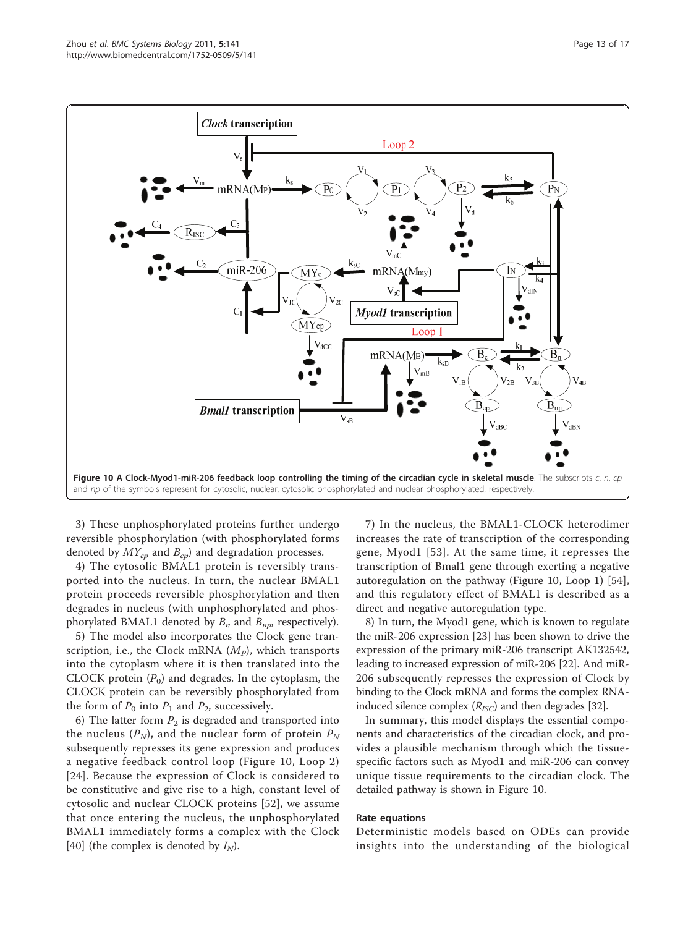<span id="page-12-0"></span>

3) These unphosphorylated proteins further undergo reversible phosphorylation (with phosphorylated forms denoted by  $MY_{cp}$  and  $B_{cp}$ ) and degradation processes.

4) The cytosolic BMAL1 protein is reversibly transported into the nucleus. In turn, the nuclear BMAL1 protein proceeds reversible phosphorylation and then degrades in nucleus (with unphosphorylated and phosphorylated BMAL1 denoted by  $B_n$  and  $B_{np}$ , respectively).

5) The model also incorporates the Clock gene transcription, i.e., the Clock mRNA  $(M_p)$ , which transports into the cytoplasm where it is then translated into the CLOCK protein  $(P_0)$  and degrades. In the cytoplasm, the CLOCK protein can be reversibly phosphorylated from the form of  $P_0$  into  $P_1$  and  $P_2$ , successively.

6) The latter form  $P_2$  is degraded and transported into the nucleus  $(P_N)$ , and the nuclear form of protein  $P_N$ subsequently represses its gene expression and produces a negative feedback control loop (Figure 10, Loop 2) [[24](#page-15-0)]. Because the expression of Clock is considered to be constitutive and give rise to a high, constant level of cytosolic and nuclear CLOCK proteins [[52\]](#page-16-0), we assume that once entering the nucleus, the unphosphorylated BMAL1 immediately forms a complex with the Clock [[40\]](#page-15-0) (the complex is denoted by  $I_N$ ).

7) In the nucleus, the BMAL1-CLOCK heterodimer increases the rate of transcription of the corresponding gene, Myod1 [\[53\]](#page-16-0). At the same time, it represses the transcription of Bmal1 gene through exerting a negative autoregulation on the pathway (Figure 10, Loop 1) [\[54](#page-16-0)], and this regulatory effect of BMAL1 is described as a direct and negative autoregulation type.

8) In turn, the Myod1 gene, which is known to regulate the miR-206 expression [[23](#page-15-0)] has been shown to drive the expression of the primary miR-206 transcript AK132542, leading to increased expression of miR-206 [\[22\]](#page-15-0). And miR-206 subsequently represses the expression of Clock by binding to the Clock mRNA and forms the complex RNAinduced silence complex  $(R_{ISC})$  and then degrades [\[32\]](#page-15-0).

In summary, this model displays the essential components and characteristics of the circadian clock, and provides a plausible mechanism through which the tissuespecific factors such as Myod1 and miR-206 can convey unique tissue requirements to the circadian clock. The detailed pathway is shown in Figure 10.

## Rate equations

Deterministic models based on ODEs can provide insights into the understanding of the biological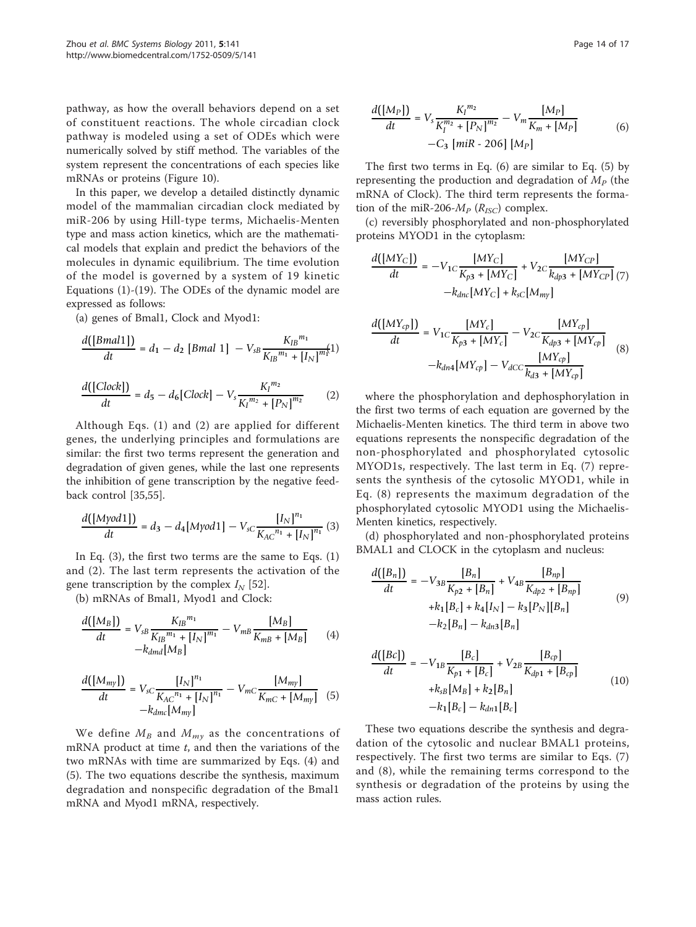pathway, as how the overall behaviors depend on a set of constituent reactions. The whole circadian clock pathway is modeled using a set of ODEs which were numerically solved by stiff method. The variables of the system represent the concentrations of each species like mRNAs or proteins (Figure [10](#page-12-0)).

In this paper, we develop a detailed distinctly dynamic model of the mammalian circadian clock mediated by miR-206 by using Hill-type terms, Michaelis-Menten type and mass action kinetics, which are the mathematical models that explain and predict the behaviors of the molecules in dynamic equilibrium. The time evolution of the model is governed by a system of 19 kinetic Equations (1)-(19). The ODEs of the dynamic model are expressed as follows:

(a) genes of Bmal1, Clock and Myod1:

$$
\frac{d([Bmal1])}{dt} = d_1 - d_2 [Bmal1] - V_{SB} \frac{K_{IB}^{m_1}}{K_{IB}^{m_1} + [I_N]^{m_1}}]
$$

$$
\frac{d([Clock])}{dt} = d_5 - d_6[Clock] - V_s \frac{K_l^{m_2}}{K_l^{m_2} + [P_N]^{m_2}} \tag{2}
$$

Although Eqs. (1) and (2) are applied for different genes, the underlying principles and formulations are similar: the first two terms represent the generation and degradation of given genes, while the last one represents the inhibition of gene transcription by the negative feedback control [\[35](#page-15-0)[,55](#page-16-0)].

$$
\frac{d([Myod1])}{dt} = d_3 - d_4[Myod1] - V_{sC} \frac{[I_N]^{n_1}}{K_{AC}^{n_1} + [I_N]^{n_1}} (3)
$$

In Eq. (3), the first two terms are the same to Eqs. (1) and (2). The last term represents the activation of the gene transcription by the complex  $I<sub>N</sub>$  [[52](#page-16-0)].

(b) mRNAs of Bmal1, Myod1 and Clock:

$$
\frac{d([M_B])}{dt} = V_{SB} \frac{K_{IB}^{m_1}}{K_{IB}^{m_1} + [I_N]^{m_1}} - V_{mB} \frac{[M_B]}{K_{mB} + [M_B]} \qquad (4)
$$

$$
-k_{dmd}[M_B]
$$

$$
\frac{d([M_{my}])}{dt} = V_{sC} \frac{[I_N]^{n_1}}{K_{AC}^{n_1} + [I_N]^{n_1}} - V_{mC} \frac{[M_{my}]}{K_{mC} + [M_{my}]} \quad (5)
$$

$$
-k_{dmc}[M_{my}]
$$

We define  $M_B$  and  $M_{my}$  as the concentrations of mRNA product at time  $t$ , and then the variations of the two mRNAs with time are summarized by Eqs. (4) and (5). The two equations describe the synthesis, maximum degradation and nonspecific degradation of the Bmal1 mRNA and Myod1 mRNA, respectively.

$$
\frac{d([M_P])}{dt} = V_s \frac{K_I^{m_2}}{K_I^{m_2} + [P_N]^{m_2}} - V_m \frac{[M_P]}{K_m + [M_P]} -C_3 \left[ miR - 206 \right] [M_P]
$$
(6)

The first two terms in Eq. (6) are similar to Eq. (5) by representing the production and degradation of  $M_p$  (the mRNA of Clock). The third term represents the formation of the miR-206- $M_p$  ( $R_{ISC}$ ) complex.

(c) reversibly phosphorylated and non-phosphorylated proteins MYOD1 in the cytoplasm:

$$
\frac{d([MY_C])}{dt} = -V_{1C}\frac{[MY_C]}{K_{p3} + [MY_C]} + V_{2C}\frac{[MY_{CP}]}{k_{dp3} + [MY_{CP}]} (7) - k_{dnc}[MY_C] + k_{sC}[M_{my}]
$$

$$
\frac{d([MY_{cp}])}{dt} = V_{1C} \frac{[MY_{c}]}{K_{p3} + [MY_{c}]} - V_{2C} \frac{[MY_{cp}]}{K_{dp3} + [MY_{cp}]} -k_{dn4}[MY_{cp}] - V_{dCC} \frac{[MY_{cp}]}{k_{d3} + [MY_{cp}]} \tag{8}
$$

where the phosphorylation and dephosphorylation in the first two terms of each equation are governed by the Michaelis-Menten kinetics. The third term in above two equations represents the nonspecific degradation of the non-phosphorylated and phosphorylated cytosolic MYOD1s, respectively. The last term in Eq. (7) represents the synthesis of the cytosolic MYOD1, while in Eq. (8) represents the maximum degradation of the phosphorylated cytosolic MYOD1 using the Michaelis-Menten kinetics, respectively.

(d) phosphorylated and non-phosphorylated proteins BMAL1 and CLOCK in the cytoplasm and nucleus:

$$
\frac{d([B_n])}{dt} = -V_{3B} \frac{[B_n]}{K_{p2} + [B_n]} + V_{4B} \frac{[B_{np}]}{K_{dp2} + [B_{np}]} + k_1 [B_c] + k_4 [I_N] - k_3 [P_N][B_n] -k_{2}[B_n] - k_{dn3}[B_n]
$$
\n(9)

$$
\frac{d([Bc])}{dt} = -V_{1B} \frac{[B_c]}{K_{p1} + [B_c]} + V_{2B} \frac{[B_{cp}]}{K_{dp1} + [B_{cp}]} + k_{sB} [M_B] + k_2 [B_n] -k_{1}[B_c] - k_{dn1}[B_c]
$$
\n(10)

These two equations describe the synthesis and degradation of the cytosolic and nuclear BMAL1 proteins, respectively. The first two terms are similar to Eqs. (7) and (8), while the remaining terms correspond to the synthesis or degradation of the proteins by using the mass action rules.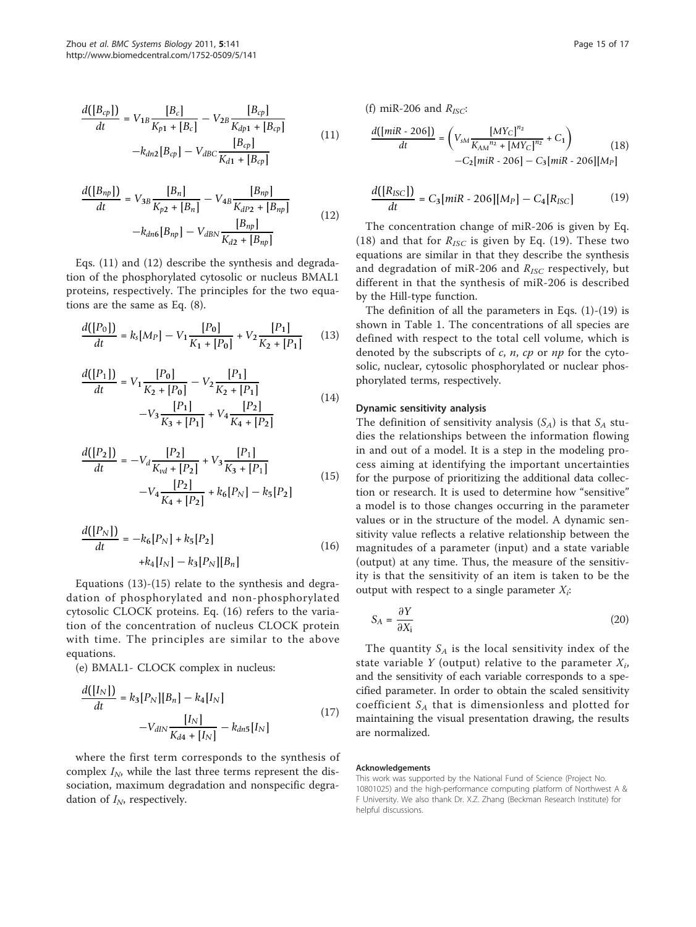$$
\frac{d([B_{cp}])}{dt} = V_{1B} \frac{[B_c]}{K_{p1} + [B_c]} - V_{2B} \frac{[B_{cp}]}{K_{dp1} + [B_{cp}]} -k_{dn2}[B_{cp}] - V_{dBC} \frac{[B_{cp}]}{K_{d1} + [B_{cp}]}
$$
(11)

$$
\frac{d([B_{np}])}{dt} = V_{3B} \frac{[B_n]}{K_{p2} + [B_n]} - V_{4B} \frac{[B_{np}]}{K_{dP2} + [B_{np}]}
$$
\n
$$
-k_{dn6}[B_{np}] - V_{dBN} \frac{[B_{np}]}{K_{d2} + [B_{np}]}
$$
\n(12)

Eqs. (11) and (12) describe the synthesis and degradation of the phosphorylated cytosolic or nucleus BMAL1 proteins, respectively. The principles for the two equations are the same as Eq. (8).

$$
\frac{d([P_0])}{dt} = k_s[M_P] - V_1 \frac{[P_0]}{K_1 + [P_0]} + V_2 \frac{[P_1]}{K_2 + [P_1]} \tag{13}
$$

$$
\frac{d([P_1])}{dt} = V_1 \frac{[P_0]}{K_2 + [P_0]} - V_2 \frac{[P_1]}{K_2 + [P_1]}
$$
  

$$
-V_3 \frac{[P_1]}{K_3 + [P_1]} + V_4 \frac{[P_2]}{K_4 + [P_2]}
$$
(14)

$$
\frac{d([P_2])}{dt} = -V_d \frac{[P_2]}{K_{vd} + [P_2]} + V_3 \frac{[P_1]}{K_3 + [P_1]}
$$
  

$$
-V_4 \frac{[P_2]}{K_4 + [P_2]} + k_6 [P_N] - k_5 [P_2]
$$
(15)

$$
\frac{d([P_N])}{dt} = -k_6[P_N] + k_5[P_2] +k_4[I_N] - k_3[P_N][B_n]
$$
\n(16)

Equations (13)-(15) relate to the synthesis and degradation of phosphorylated and non-phosphorylated cytosolic CLOCK proteins. Eq. (16) refers to the variation of the concentration of nucleus CLOCK protein with time. The principles are similar to the above equations.

(e) BMAL1- CLOCK complex in nucleus:

$$
\frac{d([I_N])}{dt} = k_3 [P_N][B_n] - k_4 [I_N] \\
\quad - V_{dIN} \frac{[I_N]}{K_{d4} + [I_N]} - k_{dn5} [I_N]
$$
\n(17)

where the first term corresponds to the synthesis of complex  $I_N$ , while the last three terms represent the dissociation, maximum degradation and nonspecific degradation of  $I_N$ , respectively.

(f) miR-206 and  $R_{ISC}$ :

$$
\frac{d([mik - 206])}{dt} = \left(V_{sM} \frac{[MY_C]^{n_2}}{K_{AM}^{n_2} + [MY_C]^{n_2}} + C_1\right) \tag{18}
$$

$$
-C_2[mik - 206] - C_3[mik - 206][M_P]
$$

$$
\frac{d([R_{ISC}])}{dt} = C_3[miR - 206][M_P] - C_4[R_{ISC}] \tag{19}
$$

The concentration change of miR-206 is given by Eq. (18) and that for  $R_{ISC}$  is given by Eq. (19). These two equations are similar in that they describe the synthesis and degradation of miR-206 and  $R_{ISC}$  respectively, but different in that the synthesis of miR-206 is described by the Hill-type function.

The definition of all the parameters in Eqs.  $(1)-(19)$  is shown in Table [1](#page-3-0). The concentrations of all species are defined with respect to the total cell volume, which is denoted by the subscripts of  $c$ ,  $n$ ,  $cp$  or  $np$  for the cytosolic, nuclear, cytosolic phosphorylated or nuclear phosphorylated terms, respectively.

# Dynamic sensitivity analysis

The definition of sensitivity analysis  $(S_A)$  is that  $S_A$  studies the relationships between the information flowing in and out of a model. It is a step in the modeling process aiming at identifying the important uncertainties for the purpose of prioritizing the additional data collection or research. It is used to determine how "sensitive" a model is to those changes occurring in the parameter values or in the structure of the model. A dynamic sensitivity value reflects a relative relationship between the magnitudes of a parameter (input) and a state variable (output) at any time. Thus, the measure of the sensitivity is that the sensitivity of an item is taken to be the output with respect to a single parameter  $X_i$ :

$$
S_A = \frac{\partial Y}{\partial X_i} \tag{20}
$$

The quantity  $S_A$  is the local sensitivity index of the state variable Y (output) relative to the parameter  $X_i$ , and the sensitivity of each variable corresponds to a specified parameter. In order to obtain the scaled sensitivity coefficient  $S_A$  that is dimensionless and plotted for maintaining the visual presentation drawing, the results are normalized.

#### Acknowledgements

This work was supported by the National Fund of Science (Project No. 10801025) and the high-performance computing platform of Northwest A & F University. We also thank Dr. X.Z. Zhang (Beckman Research Institute) for helpful discussions.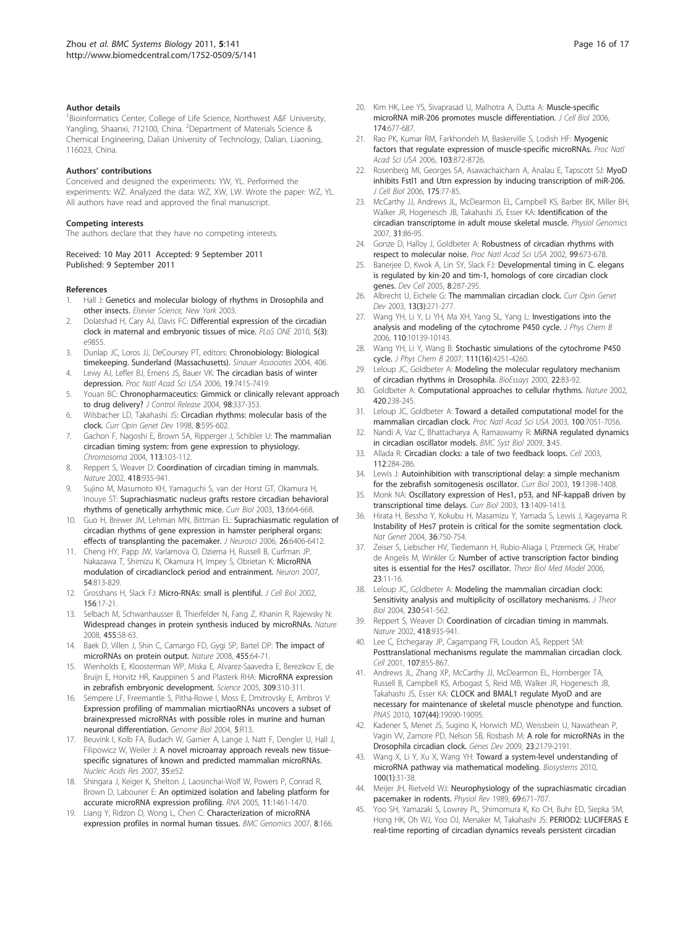#### <span id="page-15-0"></span>Author details

<sup>1</sup> Bioinformatics Center, College of Life Science, Northwest A&F University, Yangling, Shaanxi, 712100, China. <sup>2</sup>Department of Materials Science & Chemical Engineering, Dalian University of Technology, Dalian, Liaoning, 116023, China.

#### Authors' contributions

Conceived and designed the experiments: YW, YL. Performed the experiments: WZ. Analyzed the data: WZ, XW, LW. Wrote the paper: WZ, YL. All authors have read and approved the final manuscript.

#### Competing interests

The authors declare that they have no competing interests.

Received: 10 May 2011 Accepted: 9 September 2011 Published: 9 September 2011

#### References

- 1. Hall J: Genetics and molecular biology of rhythms in Drosophila and other insects. Elsevier Science, New York 2003.
- 2. Dolatshad H, Cary AJ, Davis FC: [Differential expression of the circadian](http://www.ncbi.nlm.nih.gov/pubmed/20352049?dopt=Abstract) [clock in maternal and embryonic tissues of mice.](http://www.ncbi.nlm.nih.gov/pubmed/20352049?dopt=Abstract) PLoS ONE 2010, 5(3): e9855.
- 3. Dunlap JC, Loros JJ, DeCoursey PT, editors: Chronobiology: Biological timekeeping. Sunderland (Massachusetts). Sinauer Associates 2004, 406.
- 4. Lewy AJ, Lefler BJ, Emens JS, Bauer VK: The circadian basis of winter depression. Proc Natl Acad Sci USA 2006, 19:7415-7419.
- 5. Youan BC: [Chronopharmaceutics: Gimmick or clinically relevant approach](http://www.ncbi.nlm.nih.gov/pubmed/15312991?dopt=Abstract) [to drug delivery?](http://www.ncbi.nlm.nih.gov/pubmed/15312991?dopt=Abstract) J Control Release 2004, 98:337-353.
- 6. Wilsbacher LD, Takahashi JS: [Circadian rhythms: molecular basis of the](http://www.ncbi.nlm.nih.gov/pubmed/9794822?dopt=Abstract) [clock.](http://www.ncbi.nlm.nih.gov/pubmed/9794822?dopt=Abstract) Curr Opin Genet Dev 1998, 8:595-602.
- 7. Gachon F, Nagoshi E, Brown SA, Ripperger J, Schibler U: [The mammalian](http://www.ncbi.nlm.nih.gov/pubmed/15338234?dopt=Abstract) [circadian timing system: from gene expression to physiology.](http://www.ncbi.nlm.nih.gov/pubmed/15338234?dopt=Abstract) Chromosoma 2004, 113:103-112.
- 8. Reppert S, Weaver D: [Coordination of circadian timing in mammals.](http://www.ncbi.nlm.nih.gov/pubmed/12198538?dopt=Abstract) Nature 2002, 418:935-941.
- 9. Sujino M, Masumoto KH, Yamaguchi S, van der Horst GT, Okamura H, Inouye ST: [Suprachiasmatic nucleus grafts restore circadian behavioral](http://www.ncbi.nlm.nih.gov/pubmed/12699623?dopt=Abstract) [rhythms of genetically arrhythmic mice.](http://www.ncbi.nlm.nih.gov/pubmed/12699623?dopt=Abstract) Curr Biol 2003, 13:664-668.
- 10. Guo H, Brewer JM, Lehman MN, Bittman EL: [Suprachiasmatic regulation of](http://www.ncbi.nlm.nih.gov/pubmed/16775127?dopt=Abstract) [circadian rhythms of gene expression in hamster peripheral organs:](http://www.ncbi.nlm.nih.gov/pubmed/16775127?dopt=Abstract) [effects of transplanting the pacemaker.](http://www.ncbi.nlm.nih.gov/pubmed/16775127?dopt=Abstract) J Neurosci 2006, 26:6406-6412.
- 11. Cheng HY, Papp JW, Varlamova O, Dziema H, Russell B, Curfman JP, Nakazawa T, Shimizu K, Okamura H, Impey S, Obrietan K: [MicroRNA](http://www.ncbi.nlm.nih.gov/pubmed/17553428?dopt=Abstract) [modulation of circadianclock period and entrainment.](http://www.ncbi.nlm.nih.gov/pubmed/17553428?dopt=Abstract) Neuron 2007, 54:813-829.
- 12. Grosshans H, Slack FJ: [Micro-RNAs: small is plentiful.](http://www.ncbi.nlm.nih.gov/pubmed/11781331?dopt=Abstract) J Cell Biol 2002, 156:17-21.
- 13. Selbach M, Schwanhausser B, Thierfelder N, Fang Z, Khanin R, Rajewsky N: [Widespread changes in protein synthesis induced by microRNAs.](http://www.ncbi.nlm.nih.gov/pubmed/18668040?dopt=Abstract) Nature 2008, 455:58-63.
- 14. Baek D, Villen J, Shin C, Camargo FD, Gygi SP, Bartel DP: [The impact of](http://www.ncbi.nlm.nih.gov/pubmed/18668037?dopt=Abstract) [microRNAs on protein output.](http://www.ncbi.nlm.nih.gov/pubmed/18668037?dopt=Abstract) Nature 2008, 455:64-71.
- 15. Wienholds E, Kloosterman WP, Miska E, Alvarez-Saavedra E, Berezikov E, de Bruijn E, Horvitz HR, Kauppinen S and Plasterk RHA: [MicroRNA expression](http://www.ncbi.nlm.nih.gov/pubmed/15919954?dopt=Abstract) [in zebrafish embryonic development.](http://www.ncbi.nlm.nih.gov/pubmed/15919954?dopt=Abstract) Science 2005, 309:310-311
- Sempere LF, Freemantle S, Pitha-Rowe I, Moss E, Dmitrovsky E, Ambros V: [Expression profiling of mammalian micrtiaoRNAs uncovers a subset of](http://www.ncbi.nlm.nih.gov/pubmed/15003116?dopt=Abstract) [brainexpressed microRNAs with possible roles in murine and human](http://www.ncbi.nlm.nih.gov/pubmed/15003116?dopt=Abstract) [neuronal differentiation.](http://www.ncbi.nlm.nih.gov/pubmed/15003116?dopt=Abstract) Genome Biol 2004, 5:R13.
- 17. Beuvink I, Kolb FA, Budach W, Garnier A, Lange J, Natt F, Dengler U, Hall J, Filipowicz W, Weiler J: [A novel microarray approach reveals new tissue](http://www.ncbi.nlm.nih.gov/pubmed/17355992?dopt=Abstract)[specific signatures of known and predicted mammalian microRNAs.](http://www.ncbi.nlm.nih.gov/pubmed/17355992?dopt=Abstract) Nucleic Acids Res 2007, 35:e52.
- 18. Shingara J, Keiger K, Shelton J, Laosinchai-Wolf W, Powers P, Conrad R, Brown D, Labourier E: [An optimized isolation and labeling platform for](http://www.ncbi.nlm.nih.gov/pubmed/16043497?dopt=Abstract) [accurate microRNA expression profiling.](http://www.ncbi.nlm.nih.gov/pubmed/16043497?dopt=Abstract) RNA 2005, 11:1461-1470.
- 19. Liang Y, Ridzon D, Wong L, Chen C: [Characterization of microRNA](http://www.ncbi.nlm.nih.gov/pubmed/17565689?dopt=Abstract) [expression profiles in normal human tissues.](http://www.ncbi.nlm.nih.gov/pubmed/17565689?dopt=Abstract) BMC Genomics 2007, 8:166.
- 20. Kim HK, Lee YS, Sivaprasad U, Malhotra A, Dutta A: [Muscle-specific](http://www.ncbi.nlm.nih.gov/pubmed/16923828?dopt=Abstract) [microRNA miR-206 promotes muscle differentiation.](http://www.ncbi.nlm.nih.gov/pubmed/16923828?dopt=Abstract) J Cell Biol 2006, 174:677-687.
- 21. Rao PK, Kumar RM, Farkhondeh M, Baskerville S, Lodish HF: Myogenic factors that regulate expression of muscle-specific microRNAs. Proc Natl Acad Sci USA 2006, 103:872-8726.
- 22. Rosenberg MI, Georges SA, Asawachaicharn A, Analau E, Tapscott SJ: [MyoD](http://www.ncbi.nlm.nih.gov/pubmed/17030984?dopt=Abstract) [inhibits Fstl1 and Utrn expression by inducing transcription of miR-206.](http://www.ncbi.nlm.nih.gov/pubmed/17030984?dopt=Abstract) J Cell Biol 2006, 175:77-85.
- 23. McCarthy JJ, Andrews JL, McDearmon EL, Campbell KS, Barber BK, Miller BH, Walker JR, Hogenesch JB, Takahashi JS, Esser KA: [Identification of the](http://www.ncbi.nlm.nih.gov/pubmed/17550994?dopt=Abstract) [circadian transcriptome in adult mouse skeletal muscle.](http://www.ncbi.nlm.nih.gov/pubmed/17550994?dopt=Abstract) Physiol Genomics 2007, 31:86-95.
- 24. Gonze D, Halloy J, Goldbeter A: [Robustness of circadian rhythms with](http://www.ncbi.nlm.nih.gov/pubmed/11792856?dopt=Abstract) [respect to molecular noise.](http://www.ncbi.nlm.nih.gov/pubmed/11792856?dopt=Abstract) Proc Natl Acad Sci USA 2002, 99:673-678.
- 25. Banerjee D, Kwok A, Lin SY, Slack FJ: [Developmental timing in C. elegans](http://www.ncbi.nlm.nih.gov/pubmed/15691769?dopt=Abstract) [is regulated by kin-20 and tim-1, homologs of core circadian clock](http://www.ncbi.nlm.nih.gov/pubmed/15691769?dopt=Abstract) [genes.](http://www.ncbi.nlm.nih.gov/pubmed/15691769?dopt=Abstract) Dev Cell 2005, 8:287-295.
- 26. Albrecht U, Eichele G: [The mammalian circadian clock.](http://www.ncbi.nlm.nih.gov/pubmed/12787789?dopt=Abstract) Curr Opin Genet Dev 2003, 13(3):271-277.
- 27. Wang YH, Li Y, Li YH, Ma XH, Yang SL, Yang L: [Investigations into the](http://www.ncbi.nlm.nih.gov/pubmed/16706475?dopt=Abstract) [analysis and modeling of the cytochrome P450 cycle.](http://www.ncbi.nlm.nih.gov/pubmed/16706475?dopt=Abstract) J Phys Chem B 2006, 110:10139-10143.
- 28. Wang YH, Li Y, Wang B: [Stochastic simulations of the cytochrome P450](http://www.ncbi.nlm.nih.gov/pubmed/17402779?dopt=Abstract) [cycle.](http://www.ncbi.nlm.nih.gov/pubmed/17402779?dopt=Abstract) J Phys Chem B 2007, 111(16):4251-4260.
- 29. Leloup JC, Goldbeter A: Modeling the molecular regulatory mechanism of circadian rhythms in Drosophila. BioEssays 2000, 22:83-92.
- 30. Goldbeter A: Computational [approaches to cellular rhythms.](http://www.ncbi.nlm.nih.gov/pubmed/12432409?dopt=Abstract) Nature 2002, 420:238-245.
- 31. Leloup JC, Goldbeter A: [Toward a detailed computational model for the](http://www.ncbi.nlm.nih.gov/pubmed/12775757?dopt=Abstract) [mammalian circadian clock.](http://www.ncbi.nlm.nih.gov/pubmed/12775757?dopt=Abstract) Proc Natl Acad Sci USA 2003, 100:7051-7056.
- 32. Nandi A, Vaz C, Bhattacharya A, Ramaswamy R: [MiRNA regulated dynamics](http://www.ncbi.nlm.nih.gov/pubmed/19413912?dopt=Abstract) [in circadian oscillator models.](http://www.ncbi.nlm.nih.gov/pubmed/19413912?dopt=Abstract) BMC Syst Biol 2009, 3:45.
- 33. Allada R: [Circadian clocks: a tale of two feedback loops.](http://www.ncbi.nlm.nih.gov/pubmed/12581517?dopt=Abstract) Cell 2003, 112:284-286.
- 34. Lewis J: Autoinhibition with transcriptional delay: a simple mechanism for the zebrafish somitogenesis oscillator. Curr Biol 2003, 19:1398-1408.
- 35. Monk NA: [Oscillatory expression of Hes1, p53, and NF-kappaB driven by](http://www.ncbi.nlm.nih.gov/pubmed/12932324?dopt=Abstract) [transcriptional time delays.](http://www.ncbi.nlm.nih.gov/pubmed/12932324?dopt=Abstract) Curr Biol 2003, 13:1409-1413.
- 36. Hirata H, Bessho Y, Kokubu H, Masamizu Y, Yamada S, Lewis J, Kageyama R: [Instability of Hes7 protein is critical for the somite segmentation clock.](http://www.ncbi.nlm.nih.gov/pubmed/15170214?dopt=Abstract) Nat Genet 2004, 36:750-754.
- 37. Zeiser S, Liebscher HV, Tiedemann H, Rubio-Aliaga I, Przemeck GK, Hrabe' de Angelis M, Winkler G: Number of active transcription factor binding sites is essential for the Hes7 oscillator. Theor Biol Med Model 2006, 23:11-16.
- 38. Leloup JC, Goldbeter A: [Modeling the mammalian circadian clock:](http://www.ncbi.nlm.nih.gov/pubmed/15363675?dopt=Abstract) [Sensitivity analysis and multiplicity of oscillatory mechanisms.](http://www.ncbi.nlm.nih.gov/pubmed/15363675?dopt=Abstract) J Theor Biol 2004, 230:541-562.
- 39. Reppert S, Weaver D: [Coordination of circadian timing in mammals.](http://www.ncbi.nlm.nih.gov/pubmed/12198538?dopt=Abstract) Nature 2002, 418:935-941.
- 40. Lee C, Etchegaray JP, Cagampang FR, Loudon AS, Reppert SM: [Posttranslational mechanisms regulate the mammalian circadian clock.](http://www.ncbi.nlm.nih.gov/pubmed/11779462?dopt=Abstract) Cell 2001, 107:855-867
- 41. Andrews JL, Zhang XP, McCarthy JJ, McDearmon EL, Hornberger TA Russell B, Campbell KS, Arbogast S, Reid MB, Walker JR, Hogenesch JB, Takahashi JS, Esser KA: [CLOCK and BMAL1 regulate MyoD and are](http://www.ncbi.nlm.nih.gov/pubmed/20956306?dopt=Abstract) [necessary for maintenance of skeletal muscle phenotype and function.](http://www.ncbi.nlm.nih.gov/pubmed/20956306?dopt=Abstract) PNAS 2010, 107(44):19090-19095.
- 42. Kadener S, Menet JS, Sugino K, Horwich MD, Weissbein U, Nawathean P, Vagin W, Zamore PD, Nelson SB, Rosbash M: [A role for microRNAs in the](http://www.ncbi.nlm.nih.gov/pubmed/19696147?dopt=Abstract) [Drosophila circadian clock.](http://www.ncbi.nlm.nih.gov/pubmed/19696147?dopt=Abstract) Genes Dev 2009, 23:2179-2191.
- 43. Wang X, Li Y, Xu X, Wang YH: [Toward a system-level understanding of](http://www.ncbi.nlm.nih.gov/pubmed/20005918?dopt=Abstract) [microRNA pathway via mathematical modeling.](http://www.ncbi.nlm.nih.gov/pubmed/20005918?dopt=Abstract) Biosystems 2010, 100(1):31-38.
- 44. Meijer JH, Rietveld WJ: [Neurophysiology of the suprachiasmatic circadian](http://www.ncbi.nlm.nih.gov/pubmed/2664825?dopt=Abstract) [pacemaker in rodents.](http://www.ncbi.nlm.nih.gov/pubmed/2664825?dopt=Abstract) Physiol Rev 1989, 69:671-707.
- 45. Yoo SH, Yamazaki S, Lowrey PL, Shimomura K, Ko CH, Buhr ED, Siepka SM, Hong HK, Oh WJ, Yoo OJ, Menaker M, Takahashi JS: [PERIOD2: LUCIFERAS E](http://www.ncbi.nlm.nih.gov/pubmed/14963227?dopt=Abstract) [real-time reporting of circadian dynamics reveals persistent circadian](http://www.ncbi.nlm.nih.gov/pubmed/14963227?dopt=Abstract)